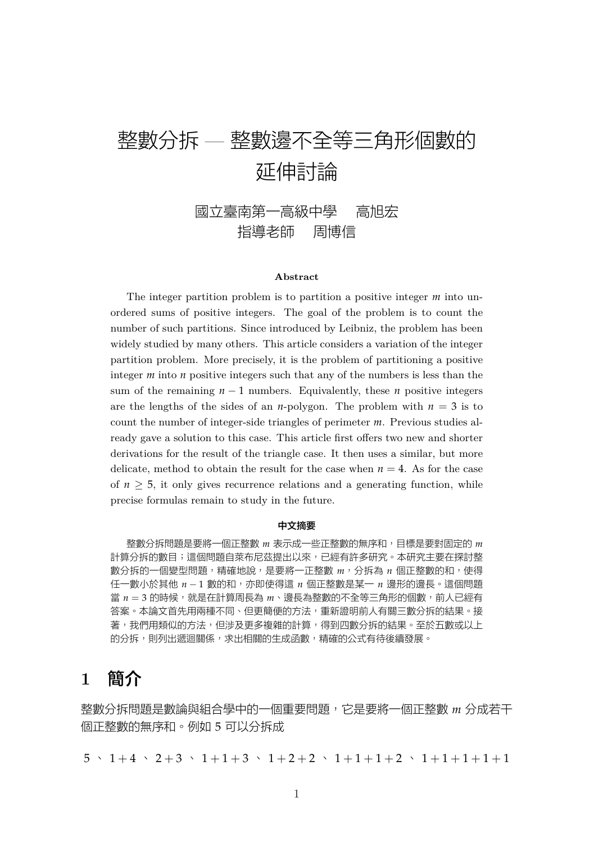# 整數分拆 — 整數邊不全等三角形個數的 延伸討論

## 國立臺南第一高級中學 高旭宏 指導老師 周博信

#### **Abstract**

The integer partition problem is to partition a positive integer *m* into unordered sums of positive integers. The goal of the problem is to count the number of such partitions. Since introduced by Leibniz, the problem has been widely studied by many others. This article considers a variation of the integer partition problem. More precisely, it is the problem of partitioning a positive integer  $m$  into  $n$  positive integers such that any of the numbers is less than the sum of the remaining  $n-1$  numbers. Equivalently, these *n* positive integers are the lengths of the sides of an *n*-polygon. The problem with  $n = 3$  is to count the number of integer-side triangles of perimeter *m*. Previous studies already gave a solution to this case. This article first offers two new and shorter derivations for the result of the triangle case. It then uses a similar, but more delicate, method to obtain the result for the case when  $n = 4$ . As for the case of  $n \geq 5$ , it only gives recurrence relations and a generating function, while precise formulas remain to study in the future.

#### 中文摘要

整數分拆問題是要將一個正整數 *m* 表示成一些正整數的無序和,目標是要對固定的 *m* 計算分拆的數目;這個問題自萊布尼茲提出以來,已經有許多研究。本研究主要在探討整 數分拆的一個變型問題,精確地說,是要將一正整數 *m*,分拆為 *n* 個正整數的和,使得 任一數小於其他 *n −* 1 數的和,亦即使得這 *n* 個正整數是某一 *n* 邊形的邊長。這個問題 當 n = 3 的時候,就是在計算周長為 m、邊長為整數的不全等三角形的個數,前人已經有 答案。本論文首先用兩種不同、但更簡便的方法,重新證明前人有關三數分拆的結果。接 著,我們用類似的方法,但涉及更多複雜的計算,得到四數分拆的結果。至於五數或以上 的分拆,則列出遞迴關係,求出相關的生成函數,精確的公式有待後續發展。

# **1** 簡介

整數分拆問題是數論與組合學中的一個重要問題,它是要將一個正整數 *m* 分成若干 個正整數的無序和。例如 5 可以分拆成

 $5 \cdot 1 + 4 \cdot 2 + 3 \cdot 1 + 1 + 3 \cdot 1 + 2 + 2 \cdot 1 + 1 + 1 + 2 \cdot 1 + 1 + 1 + 1 + 1$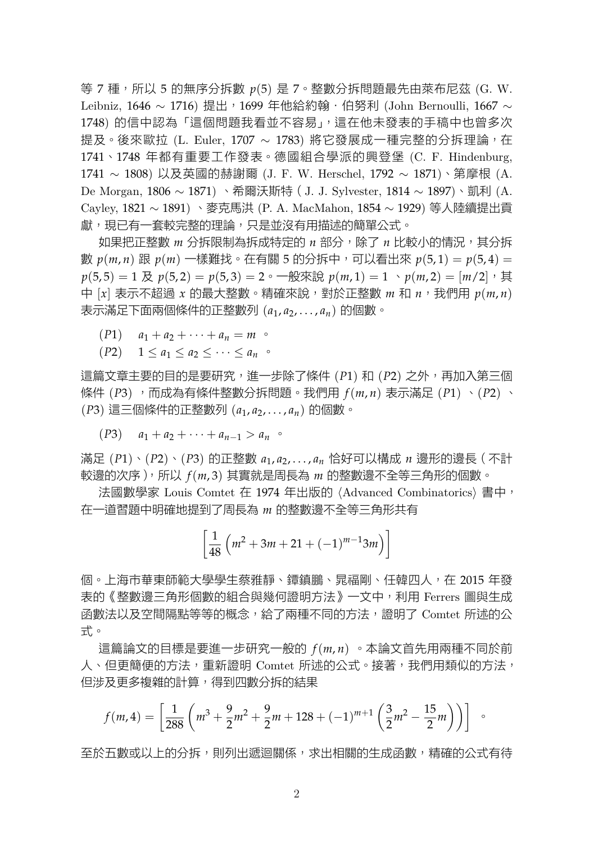等 7 種, 所以 5 的無序分拆數  $p(5)$  是 7。整數分拆問題最先由萊布尼茲 (G. W. Leibniz, 1646 ~ 1716) 提出, 1699 年他給約翰·伯努利 (John Bernoulli, 1667 ~ 1748) 的信中認為「這個問題我看並不容易」,這在他未發表的手稿中也曾多次 提及。後來歐拉 (L. Euler, 1707 ~ 1783) 將它發展成一種完整的分拆理論, 在 1741、1748 年都有重要工作發表。德國組合學派的興登堡 (C. F. Hindenburg, 1741 *∼* 1808) 以及英國的赫謝爾 (J. F. W. Herschel, 1792 *∼* 1871)、第摩根 (A. De Morgan, 1806 *∼* 1871) 、希爾沃斯特(J. J. Sylvester, 1814 *∼* 1897)、凱利 (A. Cayley, 1821 *∼* 1891) 、麥克馬洪 (P. A. MacMahon, 1854 *∼* 1929) 等人陸續提出貢 獻,現已有一套較完整的理論,只是並沒有用描述的簡單公式。

如果把正整數 *m* 分拆限制為拆成特定的 *n* 部分,除了 *n* 比較小的情況,其分拆 數 *p*(*m*, *n*) 跟 *p*(*m*) 一樣難找。在有關 5 的分拆中,可以看出來 *p*(5, 1) = *p*(5, 4) =  $p(5, 5) = 1$  及  $p(5, 2) = p(5, 3) = 2 \cdot \text{Longrightarrow}$   $p(m, 1) = 1 \cdot p(m, 2) = [m/2] \cdot \text{H}$ 中 [*x*] 表示不超過 *x* 的最大整數。精確來說,對於正整數 *m* 和 *n*,我們用 *p*(*m*, *n*) 表示滿足下面兩個條件的正整數列 (*a*1, *a*2, . . . , *an*) 的個數。

- $(P1)$   $a_1 + a_2 + \cdots + a_n = m$
- $(P2)$   $1 \leq a_1 \leq a_2 \leq \cdots \leq a_n$

這篇文章主要的目的是要研究,進一步除了條件 (*P*1) 和 (*P*2) 之外,再加入第三個 條件 (*P*3) ,而成為有條件整數分拆問題。我們用 *f*(*m*, *n*) 表示滿足 (*P*1) 、(*P*2) 、 (*P*3) 這三個條件的正整數列 (*a*1, *a*2, . . . , *an*) 的個數。

$$
(P3) \t a_1 + a_2 + \cdots + a_{n-1} > a_n \t C
$$

滿足 (*P*1)、(*P*2)、(*P*3) 的正整數 *a*1, *a*2, . . . , *a<sup>n</sup>* 恰好可以構成 *n* 邊形的邊長(不計 較邊的次序),所以 *f*(*m*, 3) 其實就是周長為 *m* 的整數邊不全等三角形的個數。

法國數學家 Louis Comtet 在 1974 年出版的 *⟨*Advanced Combinatorics*⟩* 書中, 在一道習題中明確地提到了周長為 *m* 的整數邊不全等三角形共有

$$
\left[\frac{1}{48}\left(m^2+3m+21+(-1)^{m-1}3m\right)\right]
$$

個。上海市華東師範大學學生蔡雅靜、鐔鎮鵬、晁福剛、任韓四人,在 2015 年發 表的《整數邊三角形個數的組合與幾何證明方法》一文中,利用 Ferrers 圖與生成 函數法以及空間隔點等等的概念,給了兩種不同的方法,證明了 Comtet 所述的公 式。

這篇論文的目標是要進一步研究一般的 *f*(*m*, *n*) 。本論文首先用兩種不同於前 人、但更簡便的方法,重新證明 Comtet 所述的公式。接著,我們用類似的方法, 但涉及更多複雜的計算,得到四數分拆的結果

$$
f(m,4) = \left[\frac{1}{288} \left(m^3 + \frac{9}{2}m^2 + \frac{9}{2}m + 128 + (-1)^{m+1} \left(\frac{3}{2}m^2 - \frac{15}{2}m\right)\right)\right]
$$

至於五數或以上的分拆,則列出遞迴關係,求出相關的生成函數,精確的公式有待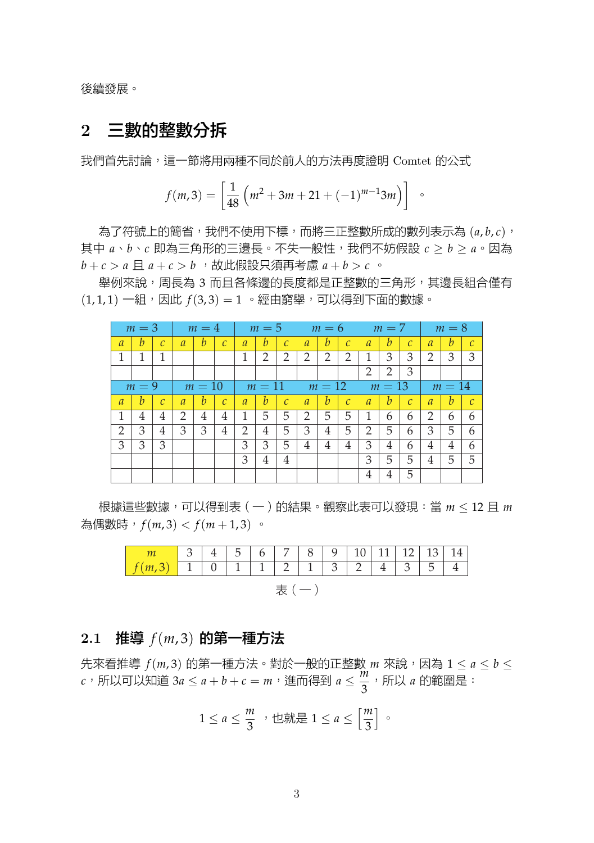後續發展。

## **2** 三數的整數分拆

我們首先討論,這一節將用兩種不同於前人的方法再度證明 Comtet 的公式

$$
f(m,3) = \left[\frac{1}{48} \left(m^2 + 3m + 21 + (-1)^{m-1} 3m\right)\right]
$$

為了符號上的簡省,我們不使用下標,而將三正整數所成的數列表示為  $(a, b, c)$ , 其中 *a*、*b*、*c* 即為三角形的三邊長。不失一般性,我們不妨假設 *c ≥ b ≥ a*。因為 *b* + *c > a* 且 *a* + *c > b* ,故此假設只須再考慮 *a* + *b > c* 。

舉例來說,周長為 3 而且各條邊的長度都是正整數的三角形,其邊長組合僅有  $(1, 1, 1)$  一組, 因此  $f(3, 3) = 1$  。經由窮舉, 可以得到下面的數據。

|                | $m=3$   |               |                | $m=4$  |               |                | $m=5$  |               |                | $m=6$          |               |                | $m=7$  |                   |                | $m=8$  |               |
|----------------|---------|---------------|----------------|--------|---------------|----------------|--------|---------------|----------------|----------------|---------------|----------------|--------|-------------------|----------------|--------|---------------|
| $\overline{a}$ | h       | $\mathcal{C}$ | $\overline{a}$ | b      | $\mathcal{C}$ | $\overline{a}$ | h      | $\mathcal{C}$ | $\overline{a}$ | b              | $\mathcal{C}$ | $\overline{a}$ | h      | $\mathcal{C}_{0}$ | $\overline{a}$ | b      | $\mathcal{C}$ |
|                | 1       | 1             |                |        |               |                | 2      | 2             | 2              | $\overline{2}$ | 2             | 1              | 3      | 3                 | 2              | 3      | 3             |
|                |         |               |                |        |               |                |        |               |                |                |               | 2              | 2      | 3                 |                |        |               |
|                | $m = 9$ |               |                | $m=10$ |               |                | $m=11$ |               |                | $m=12$         |               |                | $m=13$ |                   |                | $m=14$ |               |
| $\mathfrak a$  | h       | $\mathcal{C}$ | $\mathfrak a$  | b      | $\mathcal{C}$ | $\overline{a}$ | b      | $\mathcal{C}$ | $\overline{a}$ | b              | $\mathcal{C}$ | $\mathfrak a$  | h      | $\mathcal{C}$     | $\overline{a}$ | b      | $\mathcal{C}$ |
|                | 4       | 4             | 2              | 4      | 4             |                | 5      | 5             | 2              | 5              | 5             |                | 6      | 6                 | 2              | 6      | 6             |
| 2              | 3       | 4             | 3              | 3      | 4             | $\mathfrak{D}$ | 4      | 5             | 3              | 4              | 5             | 2              | 5      | 6                 | 3              | 5      | 6             |
| 3              | 3       | 3             |                |        |               | 3              | 3      | 5             | 4              | 4              | 4             | 3              | 4      | 6                 | 4              | 4      | 6             |
|                |         |               |                |        |               | 3              | 4      | 4             |                |                |               | 3              | 5      | 5                 | 4              | 5      | 5             |
|                |         |               |                |        |               |                |        |               |                |                |               | 4              | 4      | 5                 |                |        |               |

根據這些數據,可以得到表(一)的結果。觀察此表可以發現:當 *m ≤* 12 且 *m* 為偶數時,*f*(*m*, 3) *< f*(*m* + 1, 3) 。

|                                  |  |  |  |  |  |  |  | 3   4   5   6   7   8   9   10   11   12   13   14 |  |  |  |
|----------------------------------|--|--|--|--|--|--|--|----------------------------------------------------|--|--|--|
| $f(m,3)$ 1 0 1 1 2 1 3 2 4 3 5 4 |  |  |  |  |  |  |  |                                                    |  |  |  |
|                                  |  |  |  |  |  |  |  |                                                    |  |  |  |

## **2.1** 推導 *f*(*m*, 3) 的第一種方法

 $f(m, 3)$  的第一種方法。對於一般的正整數  $m$  來說, 因為  $1 \le a \le b \le 3$ *c*, 所以可以知道 3*a* ≤ *a* + *b* + *c* = *m*, 進而得到 *a* ≤ <mark>3</mark>  $\frac{\pi}{3}$ ,所以 *a* 的範圍是:<br>

$$
1 \le a \le \frac{m}{3} \quad \text{that} \quad 1 \le a \le \left[\frac{m}{3}\right] \quad \text{at} \quad
$$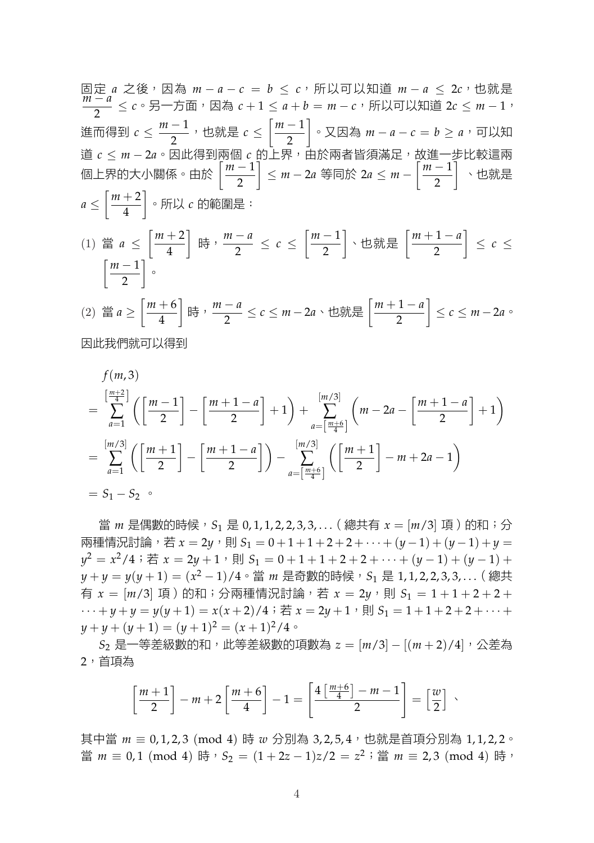固定 *a* 之後,因為 *m − a − c* = *b ≤ c*,所以可以知道 *m − a ≤* 2*c*,也就是 *m − a*  $\frac{x}{2}$  ≤ *c*。另一方面,因為 *c* + 1 ≤ *a* + *b* = *m* − *c*,所以可以知道 2*c* ≤ *m* − 1, 進而得到 *c ≤ m −* 1 \_\_<sup>\_</sup>,也就是 *c* ≤  $\left[\frac{m-1}{m}\right]$ 2 ] 。又因為 *m − a − c* = *b ≥ a*,可以知 道 *c ≤ m −* 2*a*。因此得到兩個 *c* 的上界,由於兩者皆須滿足,故進一步比較這兩 個上界的大小關係。由於 [ *m −* 1 2 ] *≤ m −* 2*a* 等同於 2*a ≤ m −*  $\left[\frac{m-1}{m}\right]$ 2 ] 、也就是 *a ≤*  $\lceil m+2 \rceil$ 4 ] 。所以 *c* 的範圍是: (1) 當 *a ≤*  $\lceil m+2 \rceil$ 4 ] 時,*<sup>m</sup> <sup>−</sup> <sup>a</sup>* 2 *≤ c ≤*  $\left[\frac{m-1}{m}\right]$ 2 ] 、也就是 [ *m* + 1 *− a* 2 ] *≤ c ≤*  $\left[\frac{m-1}{m}\right]$ 2 ]  $\circ$ 

$$
(2) \quad \lim_{m \to \infty} a \ge \left[ \frac{m+6}{4} \right] \lim_{m \to \infty} \frac{m-a}{2} \le c \le m-2a \cdot \lim_{m \to \infty} \lim_{m \to \infty} \left[ \frac{m+1-a}{2} \right] \le c \le m-2a \cdot \lim_{m \to \infty} \frac{m-a}{2}
$$

因此我們就可以得到

$$
f(m,3)
$$
\n
$$
= \sum_{a=1}^{\left[\frac{m+2}{4}\right]} \left( \left[\frac{m-1}{2}\right] - \left[\frac{m+1-a}{2}\right] + 1 \right) + \sum_{a=\left[\frac{m+6}{4}\right]}^{\left[m/3\right]} \left( m - 2a - \left[\frac{m+1-a}{2}\right] + 1 \right)
$$
\n
$$
= \sum_{a=1}^{\left[m/3\right]} \left( \left[\frac{m+1}{2}\right] - \left[\frac{m+1-a}{2}\right] \right) - \sum_{a=\left[\frac{m+6}{4}\right]}^{\left[m/3\right]} \left( \left[\frac{m+1}{2}\right] - m + 2a - 1 \right)
$$
\n
$$
= S_1 - S_2 \circ
$$

當 *m* 是偶數的時候, S<sub>1</sub> 是 0, 1, 1, 2, 2, 3, 3, . . . ( 總共有  $x = \lfloor m/3 \rfloor$  項 ) 的和; 分 兩種情況討論,若  $x = 2y$ , 則  $S_1 = 0 + 1 + 1 + 2 + 2 + \cdots + (y - 1) + (y - 1) + y =$ *y*<sup>2</sup> = *x*<sup>2</sup>/4; 若 *x* = 2*y* + 1, 則 *S*<sub>1</sub> = 0 + 1 + 1 + 2 + 2 +  $\cdots$  + (*y* − 1) + (*y* − 1) + *y* + *y* = *y*(*y* + 1) = ( $x^2 - 1$ )/4。當 *m* 是奇數的時候,S<sub>1</sub> 是 1,1,2,2,3,3,... ( 總共 有  $x = [m/3]$  項 ) 的和; 分兩種情況討論, 若  $x = 2y$ , 則  $S_1 = 1 + 1 + 2 + 2 + 3$  $\cdots + y + y = y(y+1) = x(x+2)/4$ ; 若  $x = 2y+1$ , 則  $S_1 = 1+1+2+2+\cdots+$  $y + y + (y + 1) = (y + 1)^2 = (x + 1)^2/4$ 

*S*<sup>2</sup> 是一等差級數的和,此等差級數的項數為 *z* = [*m*/3] *−* [(*m* + 2)/4],公差為 2,首項為

$$
\left[\frac{m+1}{2}\right]-m+2\left[\frac{m+6}{4}\right]-1=\left[\frac{4\left[\frac{m+6}{4}\right]-m-1}{2}\right]=\left[\frac{w}{2}\right]\end{array},
$$

其中當 *m* ≡ 0, 1, 2, 3 (mod 4) 時 *w* 分別為 3, 2, 5, 4, 也就是首項分別為 1, 1, 2, 2。 當 *m* ≡ 0,1 (mod 4) 時,  $S_2 = (1 + 2z - 1)z/2 = z^2$ ; 當 *m* ≡ 2,3 (mod 4) 時,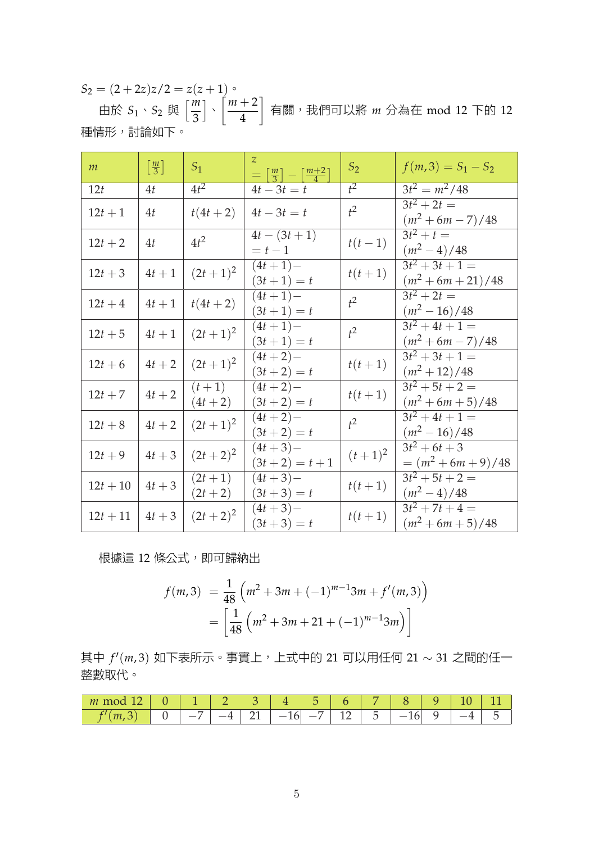$S_2 = (2+2z)z/2 = z(z+1)$ 由於  $S_1 \cdot S_2$  與  $\left\lceil \frac{m}{3} \right\rceil$ 3 ] 、  $\int$  *m* + 2 4 ] 有關,我們可以將 *m* 分為在 mod 12 下的 12 種情形,討論如下。

| m          | $\left\lceil \frac{m}{3} \right\rceil$ | $S_1$                   | $\overline{z}$<br>$=\left[\frac{m}{3}\right]-\left[\frac{m+2}{4}\right]$ | $S_2$     | $f(m,3) = S_1 - S_2$                     |
|------------|----------------------------------------|-------------------------|--------------------------------------------------------------------------|-----------|------------------------------------------|
| 12t        | 4t                                     | $4t^2$                  | $4t - 3t = t$                                                            | $t^2$     | $3t^2 = m^2/48$                          |
| $12t + 1$  | 4t                                     | $t(4t + 2)$             | $4t - 3t = t$                                                            | $t^2$     | $3t^2 + 2t =$<br>$(m^2 + 6m - 7)/48$     |
| $12t + 2$  | 4t                                     | $4t^2$                  | $4t - (3t + 1)$<br>$= t - 1$                                             | $t(t-1)$  | $3t^2 + t =$<br>$(m^2-4)/48$             |
| $12t + 3$  | $4t+1$                                 | $(2t+1)^2$              | $(4t+1)-$<br>$(3t+1) = t$                                                | $t(t+1)$  | $3t^2+3t+1=$<br>$(m^2 + 6m + 21)/48$     |
| $12t + 4$  | $4t+1$                                 | $t(4t + 2)$             | $(4t+1)-$<br>$(3t+1) = t$                                                | $t^2$     | $3t^2 + 2t =$<br>$(m^2-16)/48$           |
| $12t + 5$  | $4t+1$                                 | $(2t+1)^2$              | $(4t+1)-$<br>$(3t+1) = t$                                                | $t^2$     | $3t^2+4t+1=$<br>$(m^2 + 6m - 7)/48$      |
| $12t + 6$  | $4t+2$                                 | $(2t+1)^2$              | $(4t + 2) -$<br>$(3t+2) = t$                                             | $t(t+1)$  | $3t^2+3t+1=$<br>$(m^2+12)/48$            |
| $12t + 7$  | $4t+2$                                 | $(t + 1)$<br>$(4t + 2)$ | $(4t + 2) -$<br>$(3t+2) = t$                                             | $t(t+1)$  | $3t^2 + 5t + 2 =$<br>$(m^2 + 6m + 5)/48$ |
| $12t + 8$  | $4t+2$                                 | $(2t+1)^2$              | $(4t+2)-$<br>$(3t+2) = t$                                                | $t^2$     | $3t^2+4t+1=$<br>$(m^2-16)/48$            |
| $12t + 9$  | $4t+3$                                 | $(2t+2)^2$              | $(4t+3)-$<br>$(3t+2) = t+1$                                              | $(t+1)^2$ | $3t^2+6t+3$<br>$=(m^2+6m+9)/48$          |
| $12t + 10$ | $4t+3$                                 | $(2t+1)$<br>$(2t+2)$    | $(4t+3)-$<br>$(3t+3) = t$                                                | $t(t+1)$  | $3t^2 + 5t + 2 =$<br>$(m^2-4)/48$        |
| $12t + 11$ | $4t+3$                                 | $(2t+2)^2$              | $(4t+3)-$<br>$(3t+3) = t$                                                | $t(t+1)$  | $3t^2 + 7t + 4 =$<br>$(m^2 + 6m + 5)/48$ |

根據這 12 條公式,即可歸納出

$$
f(m,3) = \frac{1}{48} \left( m^2 + 3m + (-1)^{m-1} 3m + f'(m,3) \right)
$$
  
= 
$$
\left[ \frac{1}{48} \left( m^2 + 3m + 21 + (-1)^{m-1} 3m \right) \right]
$$

其中 *f ′* (*m*, 3) 如下表所示。事實上,上式中的 21 可以用任何 21 *∼* 31 之間的任一 整數取代。

| $\overline{\phantom{0}}$<br>m<br>.<br>-- |                               |                    |    |             | -                        |                      |                          |  |  |
|------------------------------------------|-------------------------------|--------------------|----|-------------|--------------------------|----------------------|--------------------------|--|--|
|                                          | -<br>$\overline{\phantom{a}}$ | $\sim$<br><b>.</b> | -- | $\sim$<br>∸ | $\overline{\phantom{a}}$ | 1 <sup>2</sup><br>-- | $\overline{\phantom{a}}$ |  |  |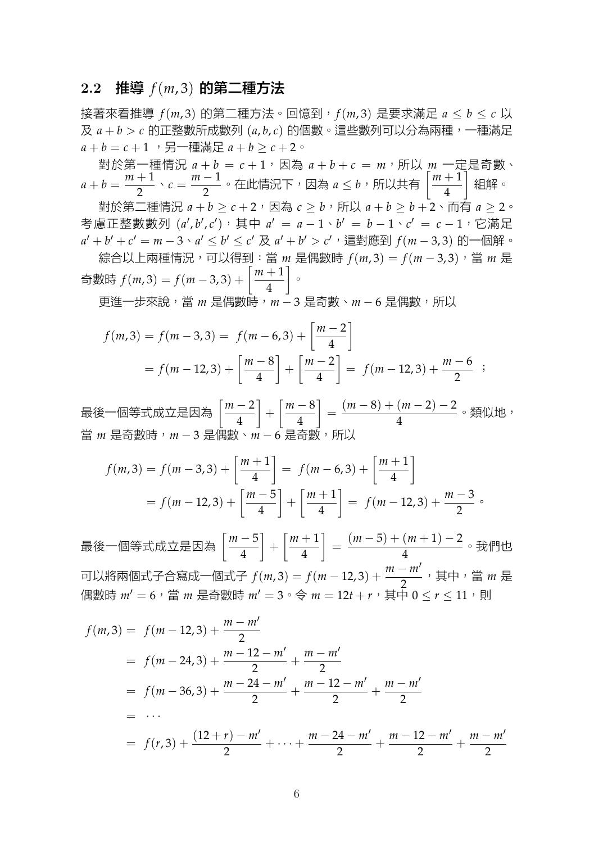#### **2.2** 推導 *f*(*m*, 3) 的第二種方法

接著來看推導 *f*(*m*, 3) 的第二種方法。回憶到,*f*(*m*, 3) 是要求滿足 *a ≤ b ≤ c* 以 及 *a* + *b > c* 的正整數所成數列 (*a*, *b*, *c*) 的個數。這些數列可以分為兩種,一種滿足  $a + b = c + 1$ , 另一種滿足  $a + b > c + 2$ 。

對於第一種情況  $a + b = c + 1$ , 因為  $a + b + c = m$ , 所以  $m$  一定是奇數、  $a + b = \frac{m+1}{2}$  $\frac{+1}{2} \cdot c = \frac{m-1}{2}$ — 1</mark>。在此情況下,因為 *a* ≤ *b*,所以共有  $\left[\frac{m+1}{4}\right]$ 4 ] 組解。

對於第二種情況  $a + b > c + 2$ ,因為  $c > b$ ,所以  $a + b > b + 2 \cdot \overline{\text{m}}$ 有  $a > 2 \cdot$ 考慮正整數數列 (*a ′* , *b ′* , *c ′* ),其中 *a ′* = *a −* 1、*b ′* = *b −* 1、*c ′* = *c −* 1,它滿足  $a'+b'+c'=m-3 \cdot a' \leq b' \leq c' \not\exists a'+b'>c'$ ,這對應到  $f(m-3,3)$  的一個解。

綜合以上兩種情況,可以得到:當 *m* 是偶數時 *f*(*m*, 3) = *f*(*m −* 3, 3),當 *m* 是 奇數時 *<sup>f</sup>*(*m*, 3) = *<sup>f</sup>*(*<sup>m</sup> <sup>−</sup>* 3, 3) + [ *m* + 1 4 ]  $\circ$ 

更進一步來說,當 *m* 是偶數時,*m −* 3 是奇數、*m −* 6 是偶數,所以

$$
f(m,3) = f(m-3,3) = f(m-6,3) + \left[\frac{m-2}{4}\right]
$$
  
=  $f(m-12,3) + \left[\frac{m-8}{4}\right] + \left[\frac{m-2}{4}\right] = f(m-12,3) + \frac{m-6}{2}$ ;

最後一個等式成立是因為 [ *m −* 2 4 ]  $+$ [ *m −* 8 4 ]  $=\frac{(m-8)+(m-2)-2}{4}$ (<sup>... \_\_\_\_\_\_\_\_ 。類似地,<br>4</sup> 當 *m* 是奇數時,*m* − 3 是偶數、*m* − 6 是奇數

$$
f(m,3) = f(m-3,3) + \left[\frac{m+1}{4}\right] = f(m-6,3) + \left[\frac{m+1}{4}\right]
$$
  
=  $f(m-12,3) + \left[\frac{m-5}{4}\right] + \left[\frac{m+1}{4}\right] = f(m-12,3) + \frac{m-3}{2}$ 

最後一個等式成立是因為 [ *m −* 5 4  $+\left[\frac{m+1}{4}\right]$ 4  $\Big] = \frac{(m-5) + (m+1) - 2}{4}$ <del>( <sup>( , ,</sup> , , , , , , , , , ,</del> , 我們也<br>4 可以將兩個式子合寫成一個式子 *f*(*m,* 3) = *f*(*m* − 12*,* 3) +  $\frac{m - m'}{2}$ , 其中, 當 *m* 是 偶數時  $m' = 6$ , 當  $m$  是奇數時  $m' = 3 \circ \Leftrightarrow m = 12t + r$ , 其中  $0 \le r \le 11$ , 則

$$
f(m,3) = f(m-12,3) + \frac{m-m'}{2}
$$
  
=  $f(m-24,3) + \frac{m-12-m'}{2} + \frac{m-m'}{2}$   
=  $f(m-36,3) + \frac{m-24-m'}{2} + \frac{m-12-m'}{2} + \frac{m-m'}{2}$   
= ...  
=  $f(r,3) + \frac{(12+r)-m'}{2} + \dots + \frac{m-24-m'}{2} + \frac{m-12-m'}{2} + \frac{m-m'}{2}$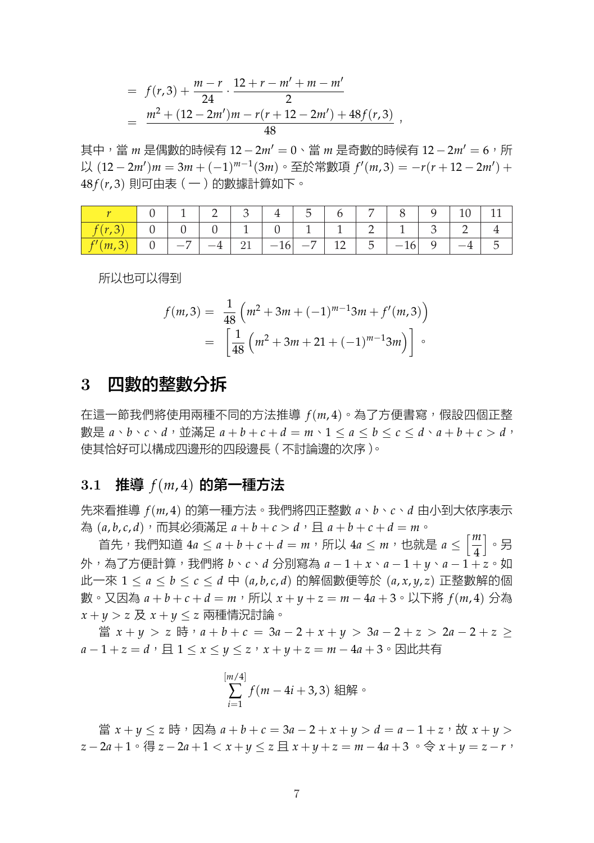$$
= f(r,3) + \frac{m-r}{24} \cdot \frac{12 + r - m' + m - m'}{2}
$$
  
= 
$$
\frac{m^2 + (12 - 2m')m - r(r + 12 - 2m') + 48f(r,3)}{48}
$$
,

其中,當 *m* 是偶數的時候有 12 − 2*m'* = 0、當 *m* 是奇數的時候有 12 − 2*m'* = 6, 所 以 (12 *−* 2*m′* )*m* = 3*m* + (*−*1) *m−*1 (3*m*)。至於常數項 *f ′* (*m*, 3) = *−r*(*r* + 12 *−* 2*m′* ) + 48 *f*(*r*, 3) 則可由表(一)的數據計算如下。

|     |  |  |                                             | $\mathcal{L}$ |  |        |  |  |
|-----|--|--|---------------------------------------------|---------------|--|--------|--|--|
|     |  |  |                                             |               |  |        |  |  |
| (m, |  |  | 16 <sub>1</sub><br>$\overline{\phantom{m}}$ | $-7$          |  | $-16'$ |  |  |

所以也可以得到

$$
f(m,3) = \frac{1}{48} \left( m^2 + 3m + (-1)^{m-1} 3m + f'(m,3) \right)
$$
  
= 
$$
\left[ \frac{1}{48} \left( m^2 + 3m + 21 + (-1)^{m-1} 3m \right) \right] \circ
$$

## **3** 四數的整數分拆

在這一節我們將使用兩種不同的方法推導 *f*(*m*, 4)。為了方便書寫,假設四個正整 數是  $a \cdot b \cdot c \cdot d$ , 並滿足  $a + b + c + d = m \cdot 1 \le a \le b \le c \le d \cdot a + b + c > d$ , 使其恰好可以構成四邊形的四段邊長(不討論邊的次序)。

### **3.1** 推導 *f*(*m*, 4) 的第一種方法

先來看推導 *f*(*m*, 4) 的第一種方法。我們將四正整數 *a*、*b*、*c*、*d* 由小到大依序表示 為 $(a, b, c, d)$ , 而其必須滿足 $a + b + c > d$ , 且 $a + b + c + d = m$ 

**)**<br>首先,我們知道 4*a* ≤ *a* + *b* + *c* + *d* = *m*,所以 4*a* ≤ *m*,也就是 *a* ≤  $\left[\frac{m}{4}\right]$ 4 ] 。另 外,為了方便計算,我們將 *b*、*c*、*d* 分別寫為 *a −* 1 + *x*、*a −* 1 + *y*、*a −* 1 + *z*。如 此一來 1 *≤ a ≤ b ≤ c ≤ d* 中 (*a*, *b*, *c*, *d*) 的解個數便等於 (*a*, *x*, *y*, *z*) 正整數解的個 數。又因為  $a + b + c + d = m$ ,所以  $x + y + z = m - 4a + 3$ 。以下將  $f(m, 4)$  分為 *x* + *y > z* 及 *x* + *y ≤ z* 兩種情況討論。

當 *x* + *y > z* 時,*a* + *b* + *c* = 3*a −* 2 + *x* + *y >* 3*a −* 2 + *z >* 2*a −* 2 + *z ≥ a* − 1 + *z* = *d*,  $\exists$  1 ≤ *x* ≤ *y* ≤ *z*,  $x + y + z = m - 4$ *a* + 3  $\circ$  因此共有

$$
\sum_{i=1}^{[m/4]} f(m-4i+3,3) \text{ @ffrak{m}^3
$$

 $\exists$   $\exists$   $x + y \leq z$  時,因為  $a + b + c = 3a - 2 + x + y > d = a - 1 + z$ , 故  $x + y > 0$  $z-2a+1 \cdot \frac{4}{9}z-2a+1 < x+y \leq z \equiv x+y+z=m-4a+3 \cdot \frac{3}{9}x+y=z-r$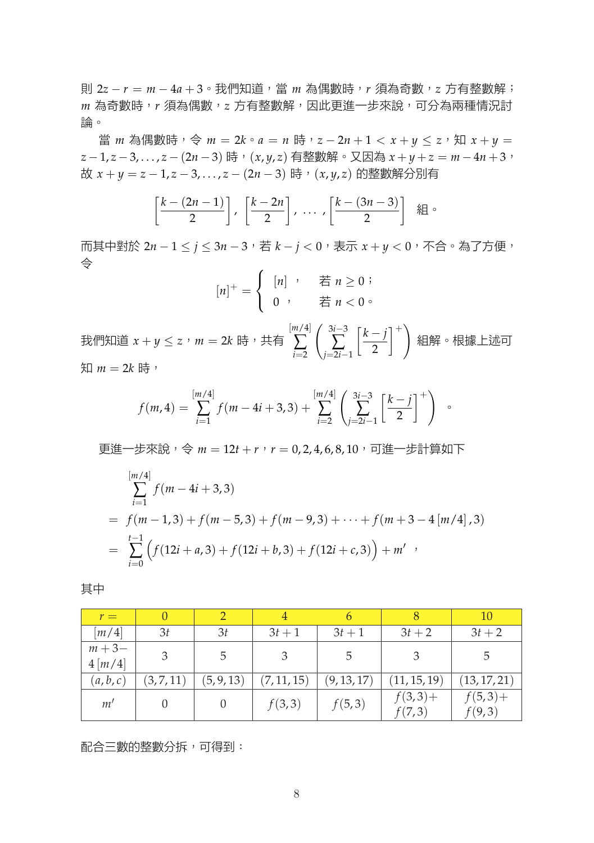則 2*z − r* = *m −* 4*a* + 3。我們知道,當 *m* 為偶數時,*r* 須為奇數,*z* 方有整數解; *m* 為奇數時,*r* 須為偶數,*z* 方有整數解,因此更進一步來說,可分為兩種情況討 論。

當 *m* 為偶數時,  $\diamond$  *m* = 2 $k \circ a = n$  時,  $z - 2n + 1 < x + y \leq z$ , 知  $x + y =$ *z −* 1, *z −* 3, . . . , *z −* (2*n −* 3) 時,(*x*, *y*, *z*) 有整數解。又因為 *x* + *y* + *z* = *m −* 4*n* + 3, 故 *x* + *y* = *z −* 1, *z −* 3, . . . , *z −* (2*n −* 3) 時,(*x*, *y*, *z*) 的整數解分別有

$$
\left[\frac{k-(2n-1)}{2}\right], \left[\frac{k-2n}{2}\right], \ldots, \left[\frac{k-(3n-3)}{2}\right] \text{ } \text{# } \circ
$$

而其中對於 2*n −* 1 *≤ j ≤* 3*n −* 3,若 *k − j <* 0,表示 *x* + *y <* 0,不合。為了方便, 令

$$
[n]^{+} = \begin{cases} [n] , & \text{if } n \geq 0 ; \\ 0 , & \text{if } n < 0 . \end{cases}
$$

我們知道 *x* + *y ≤ z*,*m* = 2*k* 時,共有 [*m*/4] ∑ *i*=2 ( 3*i−*3 ∑ *j*=2*i−*1 [ *k − j* 2  $1^+$ 組解。根據上述可  $$m = 2k$  時,

$$
f(m,4) = \sum_{i=1}^{[m/4]} f(m-4i+3,3) + \sum_{i=2}^{[m/4]} \left(\sum_{j=2i-1}^{3i-3} \left[\frac{k-j}{2}\right]^{+}\right) \quad \circ
$$

更進一步來說, 令  $m = 12t + r$ ,  $r = 0.2, 4, 6, 8, 10$ , 可進一步計算如下

$$
\sum_{i=1}^{[m/4]} f(m - 4i + 3,3)
$$
  
=  $f(m - 1,3) + f(m - 5,3) + f(m - 9,3) + \dots + f(m + 3 - 4[m/4],3)$   
= 
$$
\sum_{i=0}^{t-1} \left( f(12i + a,3) + f(12i + b,3) + f(12i + c,3) \right) + m'
$$

其中

| $r =$                                         | $\theta$   |            | 4           |             |                      | 10                   |
|-----------------------------------------------|------------|------------|-------------|-------------|----------------------|----------------------|
| $\left\lceil m/4 \right\rceil$                | 3t         | 3t         | $3t+1$      | $3t+1$      | $3t + 2$             | $3t + 2$             |
| $m + 3 -$<br>$4\left\lfloor m/4\right\rfloor$ | 3          | 5          |             | 5           |                      |                      |
| (a,b,c)                                       | (3, 7, 11) | (5, 9, 13) | (7, 11, 15) | (9, 13, 17) | (11, 15, 19)         | (13, 17, 21)         |
| m'                                            | $\theta$   |            | f(3,3)      | f(5,3)      | $f(3,3) +$<br>f(7,3) | $f(5,3) +$<br>f(9,3) |

配合三數的整數分拆,可得到: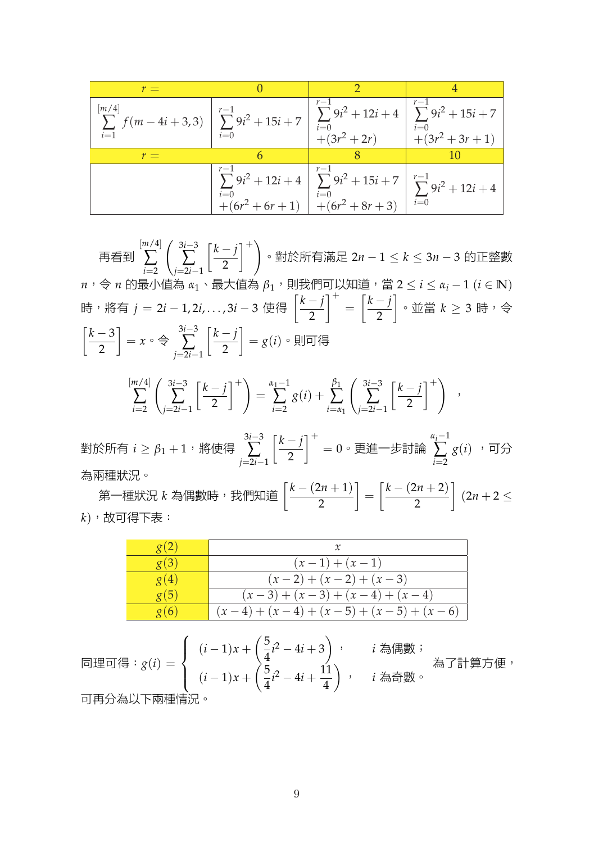| $r =$                                                                                                                                                          |                                                                                                                                                                                               |  |
|----------------------------------------------------------------------------------------------------------------------------------------------------------------|-----------------------------------------------------------------------------------------------------------------------------------------------------------------------------------------------|--|
| $\sum_{i=1}^{[m/4]} f(m-4i+3,3) \left  \sum_{i=0}^{r-1} 9i^2 + 15i + 7 \right  \sum_{i=0}^{r-1} 9i^2 + 12i + 4 \left  \sum_{i=0}^{r-1} 9i^2 + 15i + 7 \right $ |                                                                                                                                                                                               |  |
| $r =$                                                                                                                                                          |                                                                                                                                                                                               |  |
|                                                                                                                                                                | $\sum_{i=0}^{r-1} 9i^2 + 12i + 4 \left[ \sum_{i=0}^{r-1} 9i^2 + 15i + 7 \right] \left[ \sum_{i=0}^{r-1} 9i^2 + 12i + 4 \right]$<br>+(6r <sup>2</sup> + 6r + 1)<br>+(6r <sup>2</sup> + 8r + 3) |  |

再看到 [*m*/4] ∑ *i*=2 *j*=2*i−*1  $\left(\begin{array}{c}3i-3\\ \sum\end{array}\right]\left[\frac{k-j}{2}\right]$ 2  $\uparrow$ <sup>+</sup> 。對於所有滿足 2*n −* 1 *≤ k ≤* 3*n −* 3 的正整數  $n$ , 令 *n* 的最小值為 *α*<sub>1</sub>、最大值為 β<sub>1</sub>, 則我們可以知道,當 2 ≤ *i* ≤ *α<sub>i</sub>* − 1 (*i* ∈ **N**) 時,將有 *<sup>j</sup>* <sup>=</sup> <sup>2</sup>*<sup>i</sup> <sup>−</sup>* 1, 2*i*, . . . , 3*<sup>i</sup> <sup>−</sup>* <sup>3</sup> 使得 [ *k − j* 2  $\mathsf{I}^+$ = [ *k − j* 2 ] 。並當 *k ≥* 3 時,令 [ *k −* 3 2 ]  $=x \circ \Leftrightarrow$ 3*i−*3 ∑ *j*=2*i−*1 [ *k − j* 2 ] = *g*(*i*)。則可得

$$
\sum_{i=2}^{[m/4]} \left( \sum_{j=2i-1}^{3i-3} \left[ \frac{k-j}{2} \right]^+ \right) = \sum_{i=2}^{a_1-1} g(i) + \sum_{i=a_1}^{\beta_1} \left( \sum_{j=2i-1}^{3i-3} \left[ \frac{k-j}{2} \right]^+ \right) ,
$$

對於所有 *i ≥ β*<sup>1</sup> + 1,將使得 3*i−*3 ∑ *j*=2*i−*1 [ *k − j* 2  $1^+$  $= 0 \cdot \overline{E}$ 進一步討論 *αi−*1 ∑ *i*=2  $g(i)$  ,可分 為兩種狀況。

第一種狀況 *<sup>k</sup>* 為偶數時,我們知道 [ *k −* (2*n* + 1) 2  $\bigg] = \bigg[ \frac{k - (2n + 2)}{2} \bigg]$ 2 ] (2*n* + 2 *≤ k*),故可得下表:

| $\mathcal{Q}(2)$ |                                 |
|------------------|---------------------------------|
| g(3)             | $(x-1) + (x-1)$                 |
| g(4)             | $(x-2) + (x-2) + (x-3)$         |
| g(5)             | $(x-3)+(x-3)+(x-4)+(x-4)$       |
| g(6)             | $(x-4)+(x-4)+(x-5)+(x-5)+(x-6)$ |

同理可得:*g*(*i*) =  $\sqrt{ }$  $\Big\}$  $\overline{\mathcal{L}}$  $(i-1)x + \left(\frac{5}{4}\right)$  $\frac{5}{4}i^2 - 4i + 3$ , *i* 為偶數;  $(i-1)x + \left(\frac{5}{4}\right)$  $\frac{5}{4}i^2 - 4i + \frac{11}{4}$ 4  $\setminus$ , *i* 為奇數。 為了計算方便, 可再分為以下兩種情況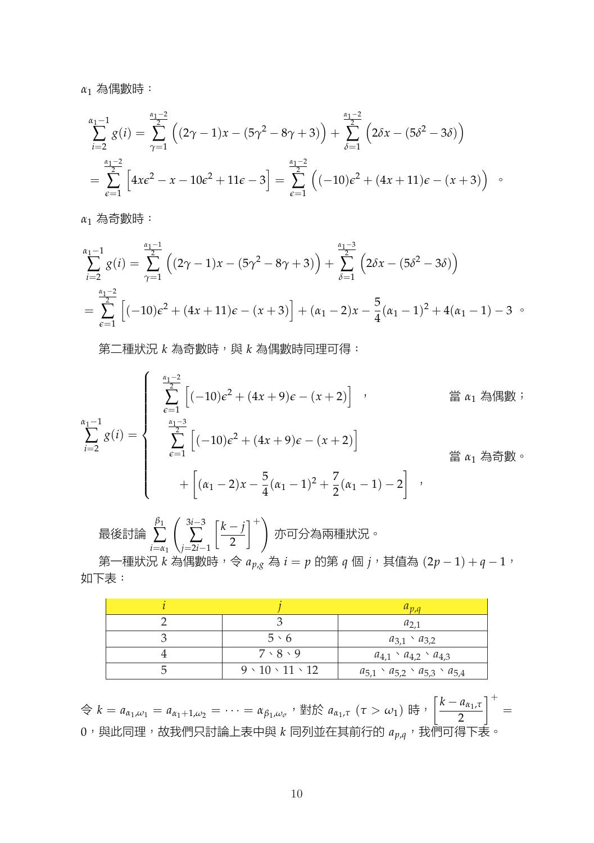*α*<sup>1</sup> 為偶數時:

$$
\sum_{i=2}^{\alpha_1-1} g(i) = \sum_{\gamma=1}^{\alpha_1-2} \left( (2\gamma - 1)x - (5\gamma^2 - 8\gamma + 3) \right) + \sum_{\delta=1}^{\alpha_1-2} \left( 2\delta x - (5\delta^2 - 3\delta) \right)
$$
  
= 
$$
\sum_{\epsilon=1}^{\alpha_1-2} \left[ 4x\epsilon^2 - x - 10\epsilon^2 + 11\epsilon - 3 \right] = \sum_{\epsilon=1}^{\alpha_1-2} \left( (-10)\epsilon^2 + (4x + 11)\epsilon - (x + 3) \right)
$$

*α*<sup>1</sup> 為奇數時:

$$
\sum_{i=2}^{\alpha_1-1} g(i) = \sum_{\gamma=1}^{\frac{\alpha_1-1}{2}} ((2\gamma - 1)x - (5\gamma^2 - 8\gamma + 3)) + \sum_{\delta=1}^{\frac{\alpha_1-3}{2}} (2\delta x - (5\delta^2 - 3\delta))
$$
  
= 
$$
\sum_{\epsilon=1}^{\frac{\alpha_1-2}{2}} [(-10)\epsilon^2 + (4x+11)\epsilon - (x+3)] + (\alpha_1 - 2)x - \frac{5}{4}(\alpha_1 - 1)^2 + 4(\alpha_1 - 1) - 3
$$

第二種狀況 *k* 為奇數時, 與 *k* 為偶數時同理可得:

$$
\sum_{i=2}^{\alpha_1-1} g(i) = \begin{cases}\n\sum_{\epsilon=1}^{\frac{\alpha_1-2}{2}} \left[ (-10)\epsilon^2 + (4x+9)\epsilon - (x+2) \right] & , & \text{if } \alpha_1 \text{ and } \beta \text{ is } \pi_2 \text{ and } \pi_3 \text{ is } \pi_4 \text{ and } \pi_5 \text{ is } \pi_6 \text{ and } \pi_7 \text{ is } \pi_7 \text{ and } \pi_8 \text{ is } \pi_8 \text{ and } \pi_9 \text{ is } \pi_9 \text{ and } \pi_9 \text{ is } \pi_9 \text{ and } \pi_9 \text{ is } \pi_9 \text{ and } \pi_9 \text{ is } \pi_9 \text{ and } \pi_9 \text{ is } \pi_9 \text{ and } \pi_9 \text{ is } \pi_9 \text{ and } \pi_9 \text{ is } \pi_9 \text{ and } \pi_9 \text{ is } \pi_9 \text{ and } \pi_9 \text{ is } \pi_9 \text{ and } \pi_9 \text{ is } \pi_9 \text{ and } \pi_9 \text{ is } \pi_9 \text{ and } \pi_9 \text{ is } \pi_9 \text{ and } \pi_9 \text{ is } \pi_9 \text{ and } \pi_9 \text{ is } \pi_9 \text{ and } \pi_9 \text{ is } \pi_9 \text{ and } \pi_9 \text{ is } \pi_9 \text{ and } \pi_9 \text{ is } \pi_9 \text{ and } \pi_9 \text{ is } \pi_9 \text{ and } \pi_9 \text{ is } \pi_9 \text{ and } \pi_9 \text{ is } \pi_9 \text{ and } \pi_9 \text{ is } \pi_9 \text{ and } \pi_9 \text{ is } \pi_9 \text{ and } \pi_9 \text{ is } \pi_9 \text{ and } \pi_9 \text{ is } \pi_9 \text{ and } \pi_9 \text{ is } \pi_9 \text{ and } \pi_9 \text{ is } \pi_9 \text{ and } \pi_9 \text{ is } \pi_9 \text{ and } \pi_9 \text{ is } \pi_9 \text{ and } \pi_9 \text{ is } \pi_9 \text{ and } \pi_9 \text{ is } \pi_9 \text{ and } \pi_9 \text{ is } \pi_9 \text{ and } \pi_9 \text{ is } \pi_9 \text{ and } \pi_9 \text{
$$

最後討論 *β*1 ∑ *i*=*α*<sup>1</sup> ( 3*i−*3 ∑ *j*=2*i−*1 [ *k − j* 2  $1^+$ 亦可分為兩種狀況。

第一種狀況  $k$  為偶數時,令  $a_{p,g}$  為  $i = p$  的第  $q$  個  $j$ , 其值為  $(2p - 1) + q - 1$ , 如下表:

|                                | $u_{p,q}$                                           |
|--------------------------------|-----------------------------------------------------|
|                                | $u_{2,1}$                                           |
| $5 \cdot 6$                    | $a_{3,1} \t a_{3,2}$                                |
| $7 \cdot 8 \cdot 9$            | $a_{4,1} \cdot a_{4,2} \cdot a_{4,3}$               |
| $9 \cdot 10 \cdot 11 \cdot 12$ | $a_{5,1} \cdot a_{5,2} \cdot a_{5,3} \cdot a_{5,4}$ |

 $\hat{\varphi}$   $k = a_{\alpha_1,\omega_1} = a_{\alpha_1+1,\omega_2} = \cdots = \alpha_{\beta_1,\omega_\sigma}$ , 對於  $a_{\alpha_1,\tau}$   $(\tau > \omega_1)$  時,  $\left[\frac{k-a_{\alpha_1,\tau}}{2}\right]$ 2  $1^+$ =  $0$ , 與此同理, 故我們只討論上表中與  $k$  同列並在其前行的  $a_{p,q}$ , 我們可得下表。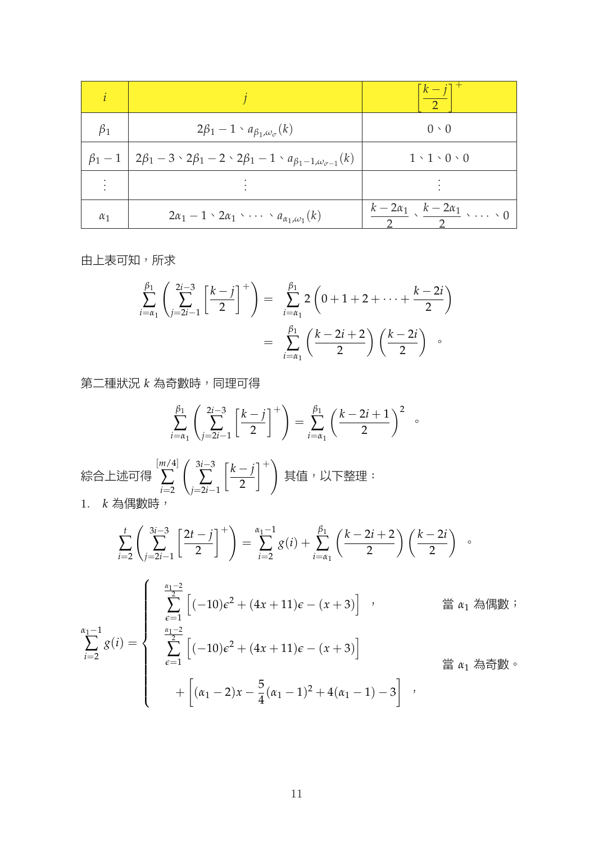|            |                                                                                                                  | $\lceil k - j \rceil$                                   |
|------------|------------------------------------------------------------------------------------------------------------------|---------------------------------------------------------|
| $\beta_1$  | $2\beta_1-1 \cdot a_{\beta_1,\omega_\sigma}(k)$                                                                  | $0 \cdot 0$                                             |
|            | $\beta_1 - 1$   $2\beta_1 - 3 \cdot 2\beta_1 - 2 \cdot 2\beta_1 - 1 \cdot a_{\beta_1 - 1, \omega_{\sigma-1}}(k)$ | $1 \cdot 1 \cdot 0 \cdot 0$                             |
|            |                                                                                                                  |                                                         |
| $\alpha_1$ | $2\alpha_1 - 1 \cdot 2\alpha_1 \cdot \cdots \cdot a_{\alpha_1,\omega_1}(k)$                                      | $\frac{k-2\alpha_1}{k}$ , $\frac{k-2\alpha_1}{k}$ , , 0 |

由上表可知,所求

$$
\sum_{i=\alpha_1}^{\beta_1} \left( \sum_{j=2i-1}^{2i-3} \left[ \frac{k-j}{2} \right]^+ \right) = \sum_{i=\alpha_1}^{\beta_1} 2 \left( 0 + 1 + 2 + \dots + \frac{k-2i}{2} \right)
$$

$$
= \sum_{i=\alpha_1}^{\beta_1} \left( \frac{k-2i+2}{2} \right) \left( \frac{k-2i}{2} \right) \circ
$$

第二種狀況 *k* 為奇數時,同理可得

$$
\sum_{i=\alpha_1}^{\beta_1} \left( \sum_{j=2i-1}^{2i-3} \left[ \frac{k-j}{2} \right]^+ \right) = \sum_{i=\alpha_1}^{\beta_1} \left( \frac{k-2i+1}{2} \right)^2 \quad .
$$

綜合上述可得 [*m*/4] ∑ *i*=2 ( 3*i−*3 ∑ *j*=2*i−*1 [ *k − j* 2  $\uparrow$ <sup>+</sup> 其值,以下整理: 1. *k* 為偶數時,

$$
\sum_{i=2}^{t} \left( \sum_{j=2i-1}^{3i-3} \left[ \frac{2t-j}{2} \right]^+ \right) = \sum_{i=2}^{\alpha_1 - 1} g(i) + \sum_{i=\alpha_1}^{\beta_1} \left( \frac{k-2i+2}{2} \right) \left( \frac{k-2i}{2} \right) \circ
$$
\n
$$
\sum_{i=2}^{\alpha_1 - 1} g(i) = \begin{cases}\n\sum_{\epsilon=1}^{\frac{\alpha_1 - 2}{2}} \left[ (-10)\epsilon^2 + (4x+11)\epsilon - (x+3) \right] & \text{if } \alpha_1 \text{ and } \beta_2 \text{ and } \beta_3 \text{ and } \beta_4 \text{ and } \beta_5 \text{ and } \beta_6 \text{ and } \beta_7 \text{ and } \beta_8 \text{ and } \beta_7 \text{ and } \beta_8 \text{ and } \beta_9 \text{ and } \beta_9 \text{ and } \beta_9 \text{ and } \beta_9 \text{ and } \beta_9 \text{ and } \beta_9 \text{ and } \beta_9 \text{ and } \beta_9 \text{ and } \beta_9 \text{ and } \beta_9 \text{ and } \beta_9 \text{ and } \beta_9 \text{ and } \beta_9 \text{ and } \beta_9 \text{ and } \beta_9 \text{ and } \beta_9 \text{ and } \beta_9 \text{ and } \beta_9 \text{ and } \beta_9 \text{ and } \beta_9 \text{ and } \beta_9 \text{ and } \beta_9 \text{ and } \beta_9 \text{ and } \beta_9 \text{ and } \beta_9 \text{ and } \beta_9 \text{ and } \beta_9 \text{ and } \beta_9 \text{ and } \beta_9 \text{ and } \beta_9 \text{ and } \beta_9 \text{ and } \beta_9 \text{ and } \beta_9 \text{ and } \beta_9 \text{ and } \beta_9 \text{ and } \beta_9 \text{ and } \beta_9 \text{ and } \beta_9 \text{ and } \beta_9 \text{ and } \beta_9 \text{ and } \beta_9 \text{ and } \beta_9 \text{ and } \beta_9 \text{ and } \beta_9 \text{ and } \beta_9 \text{ and } \beta_9 \text{ and } \beta_9 \text{ and } \beta_9 \text{ and } \beta_9 \text{ and } \beta_9 \text{ and } \beta_9 \text{ and } \beta_
$$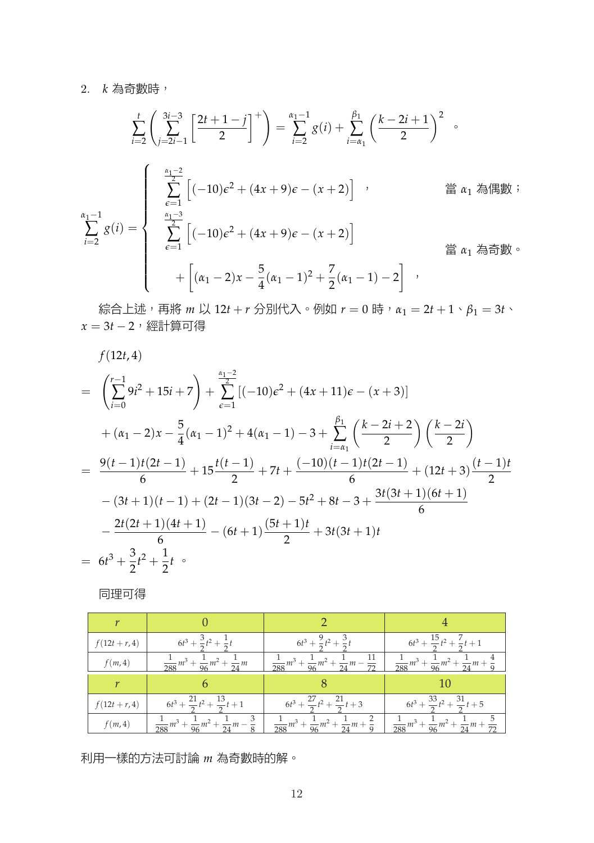#### 2. *k* 為奇數時,

$$
\sum_{i=2}^{t} \left( \sum_{j=2i-1}^{3i-3} \left[ \frac{2t+1-j}{2} \right]^{+} \right) = \sum_{i=2}^{\alpha_1-1} g(i) + \sum_{i=\alpha_1}^{\beta_1} \left( \frac{k-2i+1}{2} \right)^2 \quad \text{and} \quad g(i) = \begin{cases} \sum_{\epsilon=1}^{\alpha_1-2} \left[ (-10)\epsilon^2 + (4x+9)\epsilon - (x+2) \right] & \text{if } \alpha_1 \text{ and } \beta_1 \text{ and } \beta_2 \text{ and } \gamma_1 \text{ and } \gamma_2 \text{ and } \gamma_1 \text{ and } \gamma_2 \text{ and } \gamma_1 \text{ and } \gamma_2 \text{ and } \gamma_1 \text{ and } \gamma_2 \text{ and } \gamma_1 \text{ and } \gamma_2 \text{ and } \gamma_1 \text{ and } \gamma_2 \text{ and } \gamma_1 \text{ and } \gamma_2 \text{ and } \gamma_1 \text{ and } \gamma_2 \text{ and } \gamma_1 \text{ and } \gamma_2 \text{ and } \gamma_1 \text{ and } \gamma_2 \text{ and } \gamma_1 \text{ and } \gamma_2 \text{ and } \gamma_1 \text{ and } \gamma_2 \text{ and } \gamma_1 \text{ and } \gamma_2 \text{ and } \gamma_1 \text{ and } \gamma_2 \text{ and } \gamma_1 \text{ and } \gamma_2 \text{ and } \gamma_1 \text{ and } \gamma_2 \text{ and } \gamma_1 \text{ and } \gamma_2 \text{ and } \gamma_2 \text{ and } \gamma_1 \text{ and } \gamma_2 \text{ and } \gamma_1 \text{ and } \gamma_2 \text{ and } \gamma_1 \text{ and } \gamma_2 \text{ and } \gamma_1 \text{ and } \gamma_2 \text{ and } \gamma_1 \text{ and } \gamma_2 \text{ and } \gamma_1 \text{ and } \gamma_2 \text{ and } \gamma_1 \text{ and } \gamma_2 \text{ and } \gamma_1 \text{ and } \gamma_2 \text{ and } \gamma_2 \text{ and } \gamma_2 \text{ and } \gamma_1 \text{ and } \gamma_2 \text{ and } \gamma_2 \text{ and } \gamma_1 \text{ and } \gamma_2 \text{ and } \gamma_2 \text{ and } \gamma_1 \text{ and } \gamma_2 \text{ and } \gamma_2 \text{ and } \gamma_
$$

綜合上述,再將 *m* 以 12*t* + *r* 分別代入。例如 *r* = 0 時, $\alpha_1 = 2t + 1 \cdot \beta_1 = 3t$ 、 *x* = 3*t −* 2,經計算可得

*f*(12*t*, 4)

$$
= \left(\sum_{i=0}^{r-1} 9i^2 + 15i + 7\right) + \sum_{\epsilon=1}^{\frac{\kappa_1-2}{2}} [(-10)\epsilon^2 + (4x+11)\epsilon - (x+3)]
$$
  
+  $(\alpha_1 - 2)x - \frac{5}{4}(\alpha_1 - 1)^2 + 4(\alpha_1 - 1) - 3 + \sum_{i=\alpha_1}^{\beta_1} \left(\frac{k-2i+2}{2}\right) \left(\frac{k-2i}{2}\right)$   
=  $\frac{9(t-1)t(2t-1)}{6} + 15\frac{t(t-1)}{2} + 7t + \frac{(-10)(t-1)t(2t-1)}{6} + (12t+3)\frac{(t-1)t}{2}$   
-  $(3t+1)(t-1) + (2t-1)(3t-2) - 5t^2 + 8t - 3 + \frac{3t(3t+1)(6t+1)}{6}$   
-  $\frac{2t(2t+1)(4t+1)}{6} - (6t+1)\frac{(5t+1)t}{2} + 3t(3t+1)t$   
=  $6t^3 + \frac{3}{2}t^2 + \frac{1}{2}t$ .

同理可得

| $f(12t + r, 4)$ | $6t^3 + \frac{3}{5}t^2 + \frac{1}{4}$                              | $6t^3 + \frac{9}{5}t^2 + \frac{3}{5}$                              | $6t^3 + \frac{15}{2}t^2 + \frac{7}{2}t + 1$  |
|-----------------|--------------------------------------------------------------------|--------------------------------------------------------------------|----------------------------------------------|
| f(m, 4)         | $\frac{1}{288}m^3 + \frac{1}{96}m^2 + \frac{1}{24}m$               | $\frac{1}{288}m^3 + \frac{1}{96}m^2 + \frac{1}{24}m$               | $\frac{1}{288}m^3 + \frac{1}{66}m^2 +$       |
|                 |                                                                    |                                                                    |                                              |
| $f(12t + r, 4)$ | $6t^3 + \frac{21}{2}t^2 + \frac{13}{2}t + 1$                       | $6t^3 + \frac{27}{2}t^2 + \frac{21}{2}t + 3$                       | $6t^3 + \frac{33}{2}t^2 + \frac{31}{2}t + 5$ |
| f(m, 4)         | $\frac{1}{288}m^3 + \frac{1}{96}m^2 + \frac{1}{24}m - \frac{3}{8}$ | $\frac{1}{288}m^3 + \frac{1}{96}m^2 + \frac{1}{24}m + \frac{2}{9}$ | $rac{1}{288}m^3 + \frac{1}{96}m^2 +$         |

利用一樣的方法可討論 *m* 為奇數時的解。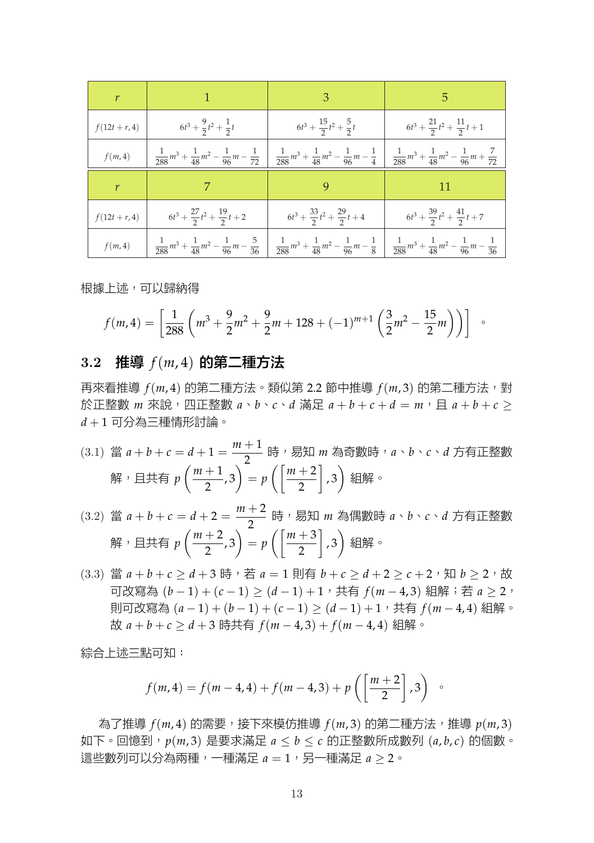| $\mathcal{r}$   | $\blacktriangleleft$ 1                       | 3 <sup>7</sup>                                                                                                                                                                                                                      | 5 <sup>1</sup>                               |
|-----------------|----------------------------------------------|-------------------------------------------------------------------------------------------------------------------------------------------------------------------------------------------------------------------------------------|----------------------------------------------|
| $f(12t + r, 4)$ | $6t^3 + \frac{9}{2}t^2 + \frac{1}{2}t$       | $6t^3 + \frac{15}{2}t^2 + \frac{5}{2}t$                                                                                                                                                                                             | $6t^3 + \frac{21}{2}t^2 + \frac{11}{2}t + 1$ |
| $f(m,4)$        |                                              | $\frac{1}{288}m^3 + \frac{1}{48}m^2 - \frac{1}{96}m - \frac{1}{72}\begin{bmatrix} \frac{1}{288}m^3 + \frac{1}{48}m^2 - \frac{1}{96}m - \frac{1}{4} \end{bmatrix} \frac{1}{288}m^3 + \frac{1}{48}m^2 - \frac{1}{96}m + \frac{7}{72}$ |                                              |
| r               | 7                                            |                                                                                                                                                                                                                                     |                                              |
| $f(12t + r, 4)$ | $6t^3 + \frac{27}{2}t^2 + \frac{19}{2}t + 2$ | $6t^3 + \frac{33}{2}t^2 + \frac{29}{2}t + 4$                                                                                                                                                                                        | $6t^3 + \frac{39}{2}t^2 + \frac{41}{2}t + 7$ |
| f(m, 4)         |                                              | $\frac{1}{288}m^3 + \frac{1}{48}m^2 - \frac{1}{96}m - \frac{5}{36}\left(-\frac{1}{288}m^3 + \frac{1}{48}m^2 - \frac{1}{96}m - \frac{1}{8}\right)\left(-\frac{1}{288}m^3 + \frac{1}{48}m^2 - \frac{1}{96}m - \frac{1}{36}\right)$    |                                              |

根據上述,可以歸納得

$$
f(m,4) = \left[\frac{1}{288} \left(m^3 + \frac{9}{2}m^2 + \frac{9}{2}m + 128 + (-1)^{m+1} \left(\frac{3}{2}m^2 - \frac{15}{2}m\right)\right)\right] \quad \circ
$$

### **3.2** 推導 *f*(*m*, 4) 的第二種方法

再來看推導 *f*(*m*, 4) 的第二種方法。類似第 2.2 節中推導 *f*(*m*, 3) 的第二種方法,對 於正整數 *m* 來說,四正整數  $a \cdot b \cdot c \cdot d$  滿足  $a + b + c + d = m$ ,且  $a + b + c$  > *d* + 1 可分為三種情形討論。

(3.1) 當  $a + b + c = d + 1 = \frac{m+1}{2}$  時,易知 *m* 為奇數時,*a*、*b*、*c*、*d* 方有正整數 解,且共有 *p*  $(m + 1)$  $\left(\frac{+1}{2},3\right)$  =  $p\left(\frac{m+2}{2}\right)$  ] , 3) 組解。

(3.2) 
$$
\ddot{a} + b + c = d + 2 = \frac{m+2}{2} \quad \text{時} \quad B \text{, m} \quad \text{A} \text{ (B)} \text{, m} \quad a \cdot b \cdot c \cdot d \quad \text{r} \quad \text{F} \text{E} \text{.}
$$
\n
$$
\text{m} \quad B \text{, m} \quad B \text{, m} \quad \text{F} \text{E} \text{.}
$$

 $(3.3)$  當  $a + b + c > d + 3$  時, 若  $a = 1$  則有  $b + c > d + 2 > c + 2$ , 知  $b > 2$ , 故 可改寫為 (*b −* 1) + (*c −* 1) *≥* (*d −* 1) + 1,共有 *f*(*m −* 4, 3) 組解;若 *a ≥* 2, 則可改寫為 (*a −* 1) + (*b −* 1) + (*c −* 1) *≥* (*d −* 1) + 1,共有 *f*(*m −* 4, 4) 組解。 故 *a* + *b* + *c ≥ d* + 3 時共有 *f*(*m −* 4, 3) + *f*(*m −* 4, 4) 組解。

綜合上述三點可知:

$$
f(m, 4) = f(m - 4, 4) + f(m - 4, 3) + p\left(\left[\frac{m + 2}{2}\right], 3\right) \circ
$$

為了推導 *f*(*m*, 4) 的需要,接下來模仿推導 *f*(*m*, 3) 的第二種方法,推導 *p*(*m*, 3) 如下。回憶到,*p*(*m*, 3) 是要求滿足 *a ≤ b ≤ c* 的正整數所成數列 (*a*, *b*, *c*) 的個數。 這些數列可以分為兩種,一種滿足  $a = 1$ , 另一種滿足  $a > 2$ 。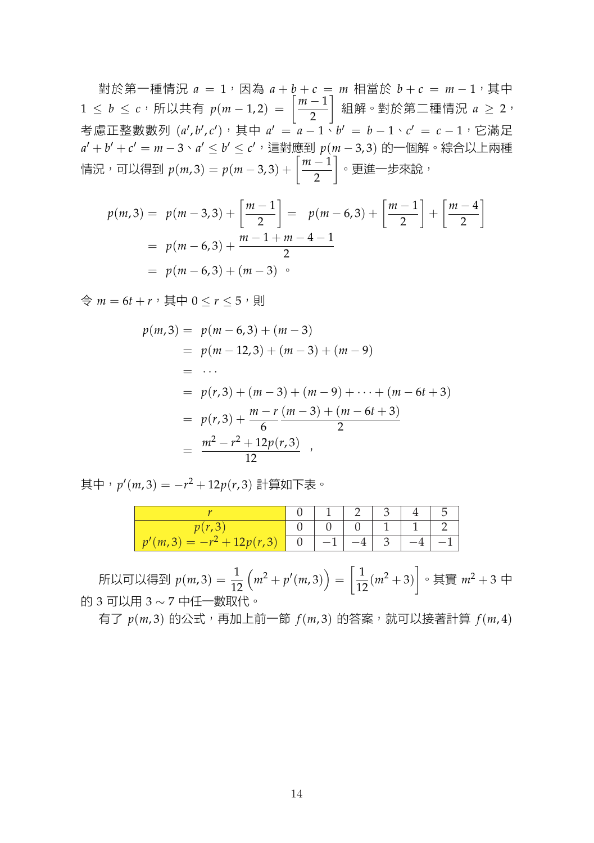對於第一種情況  $a = 1$ , 因為  $a + b + c = m$  相當於  $b + c = m - 1$ , 其中 <sup>1</sup> *<sup>≤</sup> <sup>b</sup> <sup>≤</sup> <sup>c</sup>*,所以共有 *<sup>p</sup>*(*<sup>m</sup> <sup>−</sup>* 1, 2) = [ *m −* 1 2 ] 組解。對於第二種情況 *a ≥* 2, 考慮正整數數列 (*a ′* , *b ′* , *c ′* ),其中 *a ′* = *a −* 1、*b ′* = *b −* 1、*c ′* = *c −* 1,它滿足 *a ′* + *b ′* + *c ′* = *m −* 3、*a ′ ≤ b ′ ≤ c ′*,這對應到 *p*(*m −* 3, 3) 的一個解。綜合以上兩種 情況,可以得到  $p(m, 3) = p(m − 3, 3) + \left[\frac{m-1}{2}\right]$ 2 ] 。更進一步來說,

$$
p(m,3) = p(m-3,3) + \left[\frac{m-1}{2}\right] = p(m-6,3) + \left[\frac{m-1}{2}\right] + \left[\frac{m-4}{2}\right]
$$
  
=  $p(m-6,3) + \frac{m-1+m-4-1}{2}$   
=  $p(m-6,3) + (m-3)$ 

 $\Rightarrow$   $m = 6t + r$ , 其中  $0 < r < 5$ , 則

$$
p(m,3) = p(m-6,3) + (m-3)
$$
  
=  $p(m-12,3) + (m-3) + (m-9)$   
= ...  
=  $p(r,3) + (m-3) + (m-9) + \dots + (m-6t+3)$   
=  $p(r,3) + \frac{m-r}{6} \frac{(m-3) + (m-6t+3)}{2}$   
=  $\frac{m^2 - r^2 + 12p(r,3)}{12}$ ,

其中,*p ′* (*m*, 3) = *−r* <sup>2</sup> + 12*p*(*r*, 3) 計算如下表。

|  | -1<br>$-1$ |  |  |
|--|------------|--|--|

所以可以得到  $p(m, 3) = \frac{1}{12}$  $(m^2 + p'(m,3)) = \left[\frac{1}{12}(m^2 + 3)\right] \circ \nexists \mathbb{F} \mathbb{F} \quad m^2 + 3 \neq 0$ 的 3 可以用 3 *∼* 7 中任一數取代。

有了 *p*(*m*, 3) 的公式,再加上前一節 *f*(*m*, 3) 的答案,就可以接著計算 *f*(*m*, 4)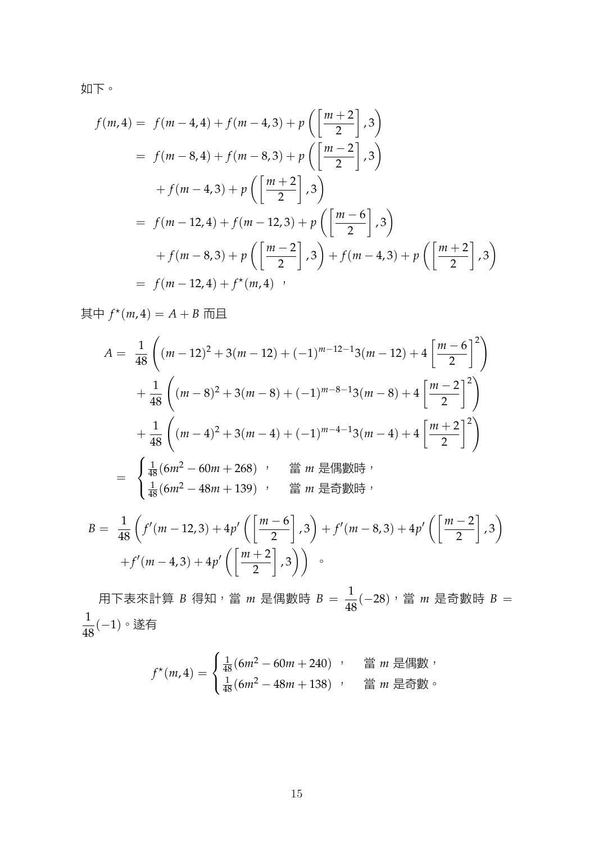如下。

$$
f(m,4) = f(m-4,4) + f(m-4,3) + p\left(\frac{m+2}{2},3\right)
$$
  
=  $f(m-8,4) + f(m-8,3) + p\left(\frac{m-2}{2},3\right)$   
+  $f(m-4,3) + p\left(\frac{m+2}{2},3\right)$   
=  $f(m-12,4) + f(m-12,3) + p\left(\frac{m-6}{2},3\right)$   
+  $f(m-8,3) + p\left(\frac{m-2}{2},3\right) + f(m-4,3) + p\left(\frac{m+2}{2},3\right)$   
=  $f(m-12,4) + f^{*}(m,4)$ ,

其中  $f^*(m, 4) = A + B$  而且

$$
A = \frac{1}{48} \left( (m - 12)^2 + 3(m - 12) + (-1)^{m-12-1} 3(m - 12) + 4 \left[ \frac{m-6}{2} \right]^2 \right)
$$
  
+ 
$$
\frac{1}{48} \left( (m - 8)^2 + 3(m - 8) + (-1)^{m-8-1} 3(m - 8) + 4 \left[ \frac{m-2}{2} \right]^2 \right)
$$
  
+ 
$$
\frac{1}{48} \left( (m - 4)^2 + 3(m - 4) + (-1)^{m-4-1} 3(m - 4) + 4 \left[ \frac{m+2}{2} \right]^2 \right)
$$
  
= 
$$
\begin{cases} \frac{1}{48} (6m^2 - 60m + 268) , \quad \text{if } m \text{ } \text{H} \text{ is } m \text{ } \text{H} \text{ is } m \text{ } \text{H} \text{ is } m \text{ } \text{H} \text{ is } m \text{ } \text{H} \text{ is } m \text{ } \text{H} \text{ is } m \text{ } \text{H} \text{ is } m \text{ } \text{H} \text{ is } m \text{ } \text{H} \text{ is } m \text{ } \text{H} \text{ is } m \text{ } \text{H} \text{ is } m \text{ } \text{H} \text{ is } m \text{ } \text{H} \text{ is } m \text{ } \text{H} \text{ is } m \text{ } \text{H} \text{ is } m \text{ } \text{H} \text{ is } m \text{ } \text{H} \text{ is } m \text{ } \text{H} \text{ is } m \text{ } \text{H} \text{ is } m \text{ } \text{H} \text{ is } m \text{ } \text{H} \text{ is } m \text{ } \text{H} \text{ is } m \text{ } \text{H} \text{ is } m \text{ } \text{H} \text{ is } m \text{ } \text{H} \text{ is } m \text{ } \text{H} \text{ is } m \text{ } \text{H} \text{ is } m \text{ } \text{H} \text{ is } m \text{ } \text{H} \text{ is } m \text{ } \text{H} \text{ is } m \text{ } \text{H} \text{ is } m \text{ } \text{H} \text{ is } m \text{ } \text{H} \
$$

$$
B = \frac{1}{48} \left( f'(m - 12,3) + 4p' \left( \left[ \frac{m-6}{2} \right], 3 \right) + f'(m - 8,3) + 4p' \left( \left[ \frac{m-2}{2} \right], 3 \right) + f'(m - 4,3) + 4p' \left( \left[ \frac{m+2}{2} \right], 3 \right) \right)
$$

用下表來計算 *B* 得知,當 *m* 是偶數時 *B* =  $\frac{1}{48}(-28)$ ,當 *m* 是奇數時 *B* = 1 <sup>48</sup> (*−*1)。遂有

$$
f^{\star}(m,4) = \begin{cases} \frac{1}{48}(6m^2 - 60m + 240) & ; \quad \text{if } m \text{ } \equiv 48m \\ \frac{1}{48}(6m^2 - 48m + 138) & ; \quad \text{if } m \text{ } \equiv 48m \end{cases}
$$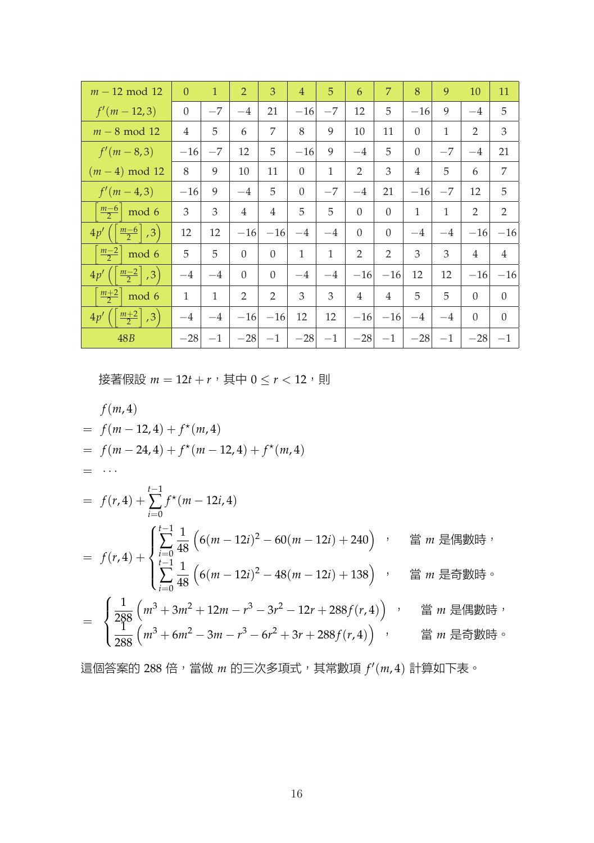| $m - 12 \text{ mod } 12$                                         | $\Omega$       | $\mathbf{1}$ | $\overline{2}$ | 3              | $\overline{4}$ | 5            | 6              | $\overline{7}$ | 8              | 9            | 10             | 11             |
|------------------------------------------------------------------|----------------|--------------|----------------|----------------|----------------|--------------|----------------|----------------|----------------|--------------|----------------|----------------|
| $f'(m-12,3)$                                                     | $\overline{0}$ | $-7$         | $-4$           | 21             | $-16$          | $-7$         | 12             | 5              | $-16$          | 9            | $-4$           | 5              |
| $m-8$ mod 12                                                     | 4              | 5            | 6              | 7              | 8              | 9            | 10             | 11             | $\Omega$       | 1            | $\overline{2}$ | 3              |
| $f'(m-8,3)$                                                      | $-16$          | $-7$         | 12             | 5              | $-16$          | 9            | $-4$           | 5              | $\Omega$       | $-7$         | $-4$           | 21             |
| $(m-4) \text{ mod } 12$                                          | 8              | 9            | 10             | 11             | $\theta$       | $\mathbf{1}$ | $\overline{2}$ | 3              | $\overline{4}$ | 5            | 6              | 7              |
| $f'(m-4,3)$                                                      | $-16$          | 9            | $-4$           | 5              | $\theta$       | $-7$         | $-4$           | 21             | $-16$          | $-7$         | 12             | 5              |
| $\frac{m-6}{2}$<br>mod 6                                         | 3              | 3            | $\overline{4}$ | $\overline{4}$ | 5              | 5            | $\theta$       | $\theta$       | $\mathbf{1}$   | $\mathbf{1}$ | $\overline{2}$ | $\overline{2}$ |
| $\left\lfloor \frac{m-6}{2} \right\rfloor$<br>$\vert$ ,3)<br>4p' | 12             | 12           | $-16$          | $-16$          | $-4$           | $-4$         | $\Omega$       | $\theta$       | $-4$           | $-4$         | $-16$          | $-16$          |
| $\frac{m-2}{2}$<br>mod 6                                         | 5              | 5            | $\Omega$       | $\Omega$       | 1              | $\mathbf{1}$ | $\overline{2}$ | 2              | 3              | 3            | $\overline{4}$ | $\overline{4}$ |
| $\left\lfloor \frac{m-2}{2} \right\rfloor$ , 3)<br>4p'           | $-4$           | $-4$         | $\Omega$       | $\Omega$       | $-4$           | $-4$         | $-16$          | $-16$          | 12             | 12           | $-16$          | $-16$          |
| $\frac{m+2}{2}$<br>mod 6                                         | 1              | 1            | 2              | 2              | 3              | 3            | $\overline{4}$ | $\overline{4}$ | 5              | 5            | $\Omega$       | $\Omega$       |
| $\frac{m+2}{2}$<br>, 3)<br>4p'                                   | $-4$           | $-4$         | $-16$          | $-16$          | 12             | 12           | $-16$          | $-16$          | $-4$           | $-4$         | $\Omega$       | $\theta$       |
| 48B                                                              | $-28$          | $-1$         | $-28$          | $-1$           | $-28$          | $-1$         | $-28$          | $-1$           | $-28$          | $-1$         | $-28$          | $-1$           |

接著假設  $m = 12t + r$ , 其中  $0 \leq r < 12$ , 則

$$
f(m,4)
$$
  
=  $f(m-12,4) + f^{*}(m,4)$   
=  $f(m-24,4) + f^{*}(m-12,4) + f^{*}(m,4)$   
=  $\cdots$   
=  $f(r,4) + \sum_{i=0}^{t-1} f^{*}(m-12i,4)$   
=  $f(r,4) + \begin{cases} \sum_{i=0}^{t-1} \frac{1}{48} \left(6(m-12i)^{2} - 60(m-12i) + 240\right) & \text{if } m \text{ } \text{H} \text{ is } m \text{ } \text{H}} \\ \sum_{i=0}^{t-1} \frac{1}{48} \left(6(m-12i)^{2} - 48(m-12i) + 138\right) & \text{if } m \text{ } \text{H} \text{ is } \text{H}} \end{cases}$   
= 
$$
\begin{cases} \frac{1}{288} \left(m^{3} + 3m^{2} + 12m - r^{3} - 3r^{2} - 12r + 288f(r,4)\right) & \text{if } m \text{ } \text{H} \text{ is } \text{H}} \\ \frac{1}{288} \left(m^{3} + 6m^{2} - 3m - r^{3} - 6r^{2} + 3r + 288f(r,4)\right) & \text{if } m \text{ } \text{H} \text{ is } \text{H}} \end{cases}
$$

這個答案的 288 倍,當做 *m* 的三次多項式,其常數項 ƒ′(m,4) 計算如下表。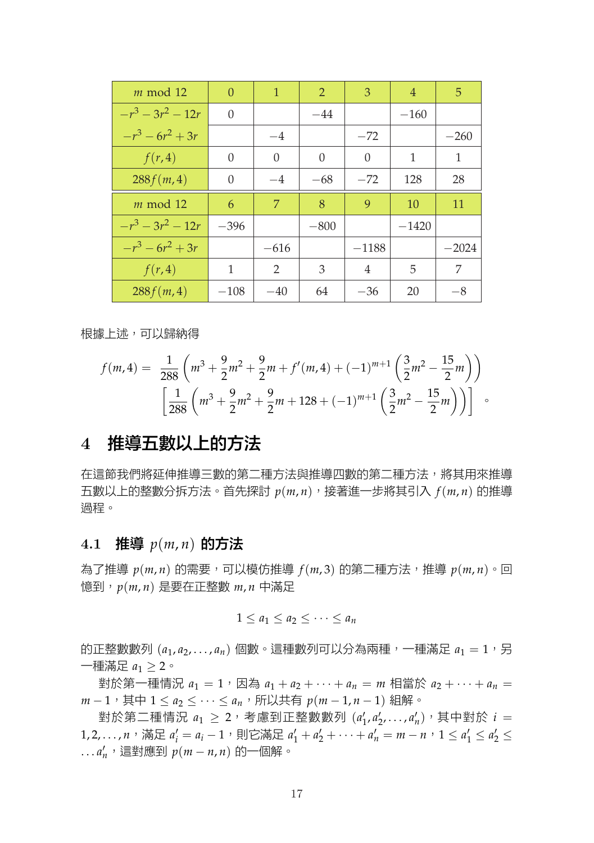| $m \mod 12$     | $\Omega$ | $\mathbf{1}$   | $\mathfrak{D}$ | 3       | $\overline{4}$ | 5       |
|-----------------|----------|----------------|----------------|---------|----------------|---------|
| $-r^3-3r^2-12r$ | $\theta$ |                | $-44$          |         | $-160$         |         |
| $-r^3-6r^2+3r$  |          | $-4$           |                | $-72$   |                | $-260$  |
| f(r,4)          | $\Omega$ | $\Omega$       | $\theta$       | 0       | 1              | 1       |
| 288f(m, 4)      | $\theta$ | $-4$           | $-68$          | $-72$   | 128            | 28      |
| $m \mod 12$     | 6        | 7              | 8              | 9       | 10             | 11      |
| $-r^3-3r^2-12r$ | $-396$   |                | $-800$         |         | $-1420$        |         |
| $-r^3-6r^2+3r$  |          | $-616$         |                | $-1188$ |                | $-2024$ |
| f(r,4)          | 1        | $\overline{2}$ | 3              | 4       | 5              | 7       |
| 288f(m, 4)      | $-108$   | $-40$          | 64             | $-36$   | 20             | $-8$    |

根據上述,可以歸納得

$$
f(m,4) = \frac{1}{288} \left( m^3 + \frac{9}{2}m^2 + \frac{9}{2}m + f'(m,4) + (-1)^{m+1} \left( \frac{3}{2}m^2 - \frac{15}{2}m \right) \right)
$$

$$
\left[ \frac{1}{288} \left( m^3 + \frac{9}{2}m^2 + \frac{9}{2}m + 128 + (-1)^{m+1} \left( \frac{3}{2}m^2 - \frac{15}{2}m \right) \right) \right] \quad \circ
$$

## **4** 推導五數以上的方法

在這節我們將延伸推導三數的第二種方法與推導四數的第二種方法,將其用來推導 五數以上的整數分拆方法。首先探討 *p*(*m*, *n*),接著進一步將其引入 *f*(*m*, *n*) 的推導 過程。

## **4.1** 推導 *p*(*m*, *n*) 的方法

為了推導  $p(m, n)$  的需要,可以模仿推導  $f(m, 3)$  的第二種方法,推導  $p(m, n) \circ \Box$ 憶到,*p*(*m*, *n*) 是要在正整數 *m*, *n* 中滿足

$$
1\leq a_1\leq a_2\leq\cdots\leq a_n
$$

的正整數數列 $(a_1, a_2, \ldots, a_n)$ 個數。這種數列可以分為兩種,一種滿足  $a_1 = 1$ , 另 一種滿足 *a*<sup>1</sup> *≥* 2。

對於第一種情況  $a_1 = 1$ , 因為  $a_1 + a_2 + \cdots + a_n = m$  相當於  $a_2 + \cdots + a_n =$ *m* − 1, 其中 1 ≤ *a*<sub>2</sub> ≤ · · · ≤ *a<sub>n</sub>*, 所以共有 *p*(*m* − 1, *n* − 1) 組解。

對於第二種情況  $a_1 \geq 2$ ,考慮到正整數數列  $(a'_1, a'_2, \ldots, a'_n)$ ,其中對於  $i =$ 1,2,...,n,滿足  $a'_i = a_i - 1$ ,則它滿足  $a'_1 + a'_2 + \cdots + a'_n = m - n$ , $1 \le a'_1 \le a'_2 \le n$ . . . *a ′ <sup>n</sup>*,這對應到 *p*(*m − n*, *n*) 的一個解。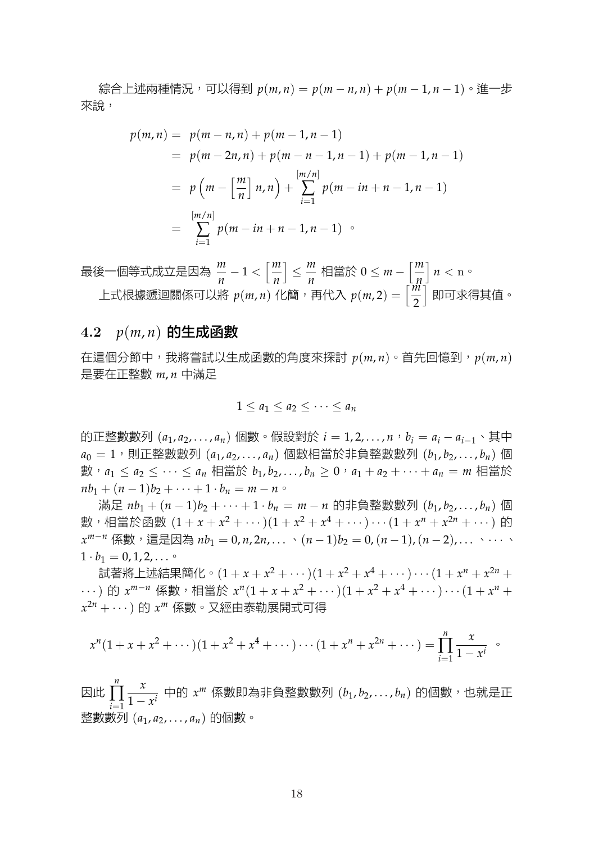$k \in \mathbb{R}$ 远兩種情況,可以得到  $p(m,n) = p(m-n,n) + p(m-1,n-1)$ 。進一步 來說,

$$
p(m, n) = p(m - n, n) + p(m - 1, n - 1)
$$
  
=  $p(m - 2n, n) + p(m - n - 1, n - 1) + p(m - 1, n - 1)$   
=  $p(m - \left[\frac{m}{n}\right]n, n) + \sum_{i=1}^{\left[m/n\right]} p(m - in + n - 1, n - 1)$   
=  $\sum_{i=1}^{\left[m/n\right]} p(m - in + n - 1, n - 1)$ 

最後一個等式成立是因為 *<sup>m</sup> n −* 1 *<* [*m n* ] *≤ m n* 相當於 0 *≤ m −* [*m n*  $n < n$ 上式根據遞迴關係可以將  $p(m, n)$  化簡,再代入  $p(m, 2) = \left[\frac{m}{2}\right]$ ] 即可求得其值。

#### **4.2** *p*(*m*, *n*) 的生成函數

在這個分節中,我將嘗試以生成函數的角度來探討 *p*(*m*, *n*)。首先回憶到,*p*(*m*, *n*) 是要在正整數 *m*, *n* 中滿足

$$
1 \leq a_1 \leq a_2 \leq \cdots \leq a_n
$$

的正整數數列 (*a*1, *<sup>a</sup>*2, . . . , *<sup>a</sup>n*) 個數。假設對於 *<sup>i</sup>* = 1, 2, . . . , *<sup>n</sup>*,*b<sup>i</sup>* = *<sup>a</sup><sup>i</sup> − <sup>a</sup>i−*1、其中  $a_0 = 1$ , 則正整數數列  $(a_1, a_2, \ldots, a_n)$  個數相當於非負整數數列  $(b_1, b_2, \ldots, b_n)$  個 數,  $a_1 \leq a_2 \leq \cdots \leq a_n$  相當於,  $b_1, b_2, \ldots, b_n \geq 0$ ,  $a_1 + a_2 + \cdots + a_n = m$  相當於  $nb_1 + (n-1)b_2 + \cdots + 1 \cdot b_n = m - n$ 

滿足 *nb*<sup>1</sup> + (*n −* 1)*b*<sup>2</sup> + *· · ·* + 1 *· b<sup>n</sup>* = *m − n* 的非負整數數列 (*b*1, *b*2, . . . , *bn*) 個 數,相當於函數  $(1 + x + x^2 + \cdots)(1 + x^2 + x^4 + \cdots) \cdots (1 + x^n + x^{2n} + \cdots)$  的 *x*<sup>*m*−*n*</sup> 係數,這是因為 *nb*<sub>1</sub> = 0, *n*, 2*n*, . . . 、(*n* − 1)*b*<sub>2</sub> = 0, (*n* − 1), (*n* − 2), . . . 、 · · · · 、  $1 \cdot b_1 = 0, 1, 2, \ldots$ 

試著將上述結果簡化。 $(1 + x + x^2 + \cdots)(1 + x^2 + x^4 + \cdots) \cdots (1 + x^n + x^{2n} + \cdots)$ *·* · · · ) 的  $x^{m-n}$  係數,相當於  $x^n(1 + x + x^2 + \cdots)(1 + x^2 + x^4 + \cdots) \cdots (1 + x^n + x^n)$ *x* <sup>2</sup>*<sup>n</sup>* <sup>+</sup> *· · ·*) <sup>的</sup> *<sup>x</sup> <sup>m</sup>* 係數。又經由泰勒展開式可得

$$
x^{n}(1+x+x^{2}+\cdots)(1+x^{2}+x^{4}+\cdots)\cdots(1+x^{n}+x^{2n}+\cdots)=\prod_{i=1}^{n}\frac{x}{1-x^{i}} \quad \circ
$$

因此  $\prod_{1}^{n} \frac{x}{1-x}$ *i*=1  $\frac{x}{1-x^i}$  中的 *x'''* 係數即為非負整數數列 (*b*<sub>1</sub>, *b*<sub>2</sub>, . . . , *b*<sub>n</sub>) 的個數,也就是正 整數數列 (*a*1, *a*2, . . . , *an*) 的個數。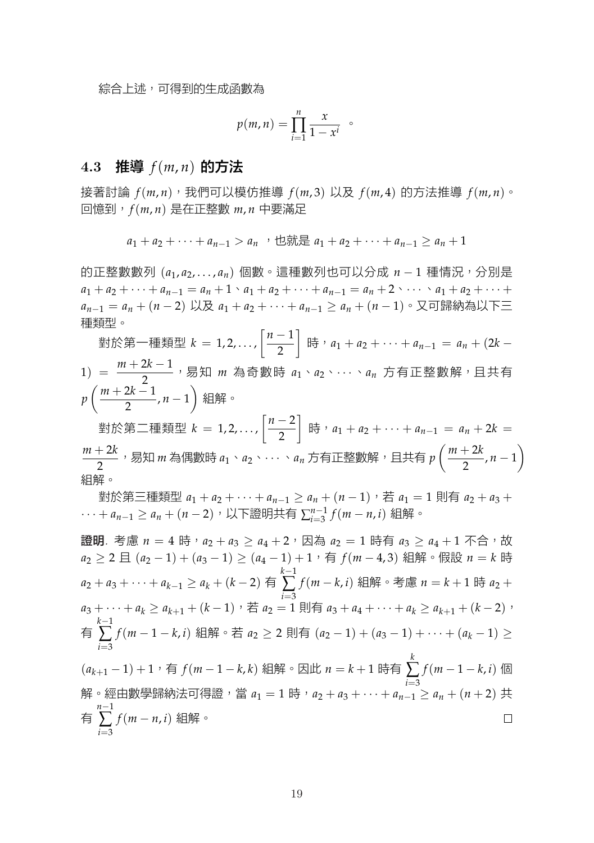$$
p(m,n) = \prod_{i=1}^{n} \frac{x}{1-x^{i}} \quad \circ
$$

#### **4.3** 推導 *f*(*m*, *n*) 的方法

接著討論 *f*(*m*, *n*),我們可以模仿推導 *f*(*m*, 3) 以及 *f*(*m*, 4) 的方法推導 *f*(*m*, *n*)。 回憶到,*f*(*m*, *n*) 是在正整數 *m*, *n* 中要滿足

$$
a_1 + a_2 + \cdots + a_{n-1} > a_n
$$
,  $\forall$   $\forall$   $\forall$   $\forall a_1 + a_2 + \cdots + a_{n-1} \geq a_n + 1$ 

的正整數數列 (*a*1, *a*2, . . . , *an*) 個數。這種數列也可以分成 *n −* 1 種情況,分別是  $a_1 + a_2 + \cdots + a_{n-1} = a_n + 1 \cdot a_1 + a_2 + \cdots + a_{n-1} = a_n + 2 \cdot \cdots \cdot a_1 + a_2 + \cdots + a_n$ *<sup>a</sup>n−*<sup>1</sup> = *<sup>a</sup><sup>n</sup>* + (*<sup>n</sup> −* <sup>2</sup>) 以及 *<sup>a</sup>*<sup>1</sup> + *<sup>a</sup>*<sup>2</sup> + *· · ·* + *<sup>a</sup>n−*<sup>1</sup> *≥ <sup>a</sup><sup>n</sup>* + (*<sup>n</sup> −* <sup>1</sup>)。又可歸納為以下三 種類型。

對於第一種類型 *k* = 1, 2, . . . ,  $\left[\frac{n-1}{2}\right]$ 2 ] 時,*a*<sup>1</sup> + *<sup>a</sup>*<sup>2</sup> + *· · ·* + *<sup>a</sup>n−*<sup>1</sup> = *<sup>a</sup><sup>n</sup>* + (2*<sup>k</sup> −* <sup>1</sup>) = *<sup>m</sup>* <sup>+</sup> <sup>2</sup>*<sup>k</sup> <sup>−</sup>* <sup>1</sup> 2 ,易知 *m* 為奇數時 *a*1、*a*2、*· · ·* 、*a<sup>n</sup>* 方有正整數解,且共有 *p*  $\left( \frac{m + 2k - 1}{m + 2k - 1} \right)$  $\frac{2n+1}{2}$ , *n* − 1  $\setminus$ 組解。

對於第二種類型 *k* = 1, 2, . . . ,  $\left[\frac{n-2}{2}\right]$ 2 | 時, $a_1 + a_2 + \cdots + a_{n-1} = a_n + 2k =$ *m* + 2*k* 2 ,易知 *m* 為偶數時 *a*1、*a*2、*· · ·* 、*a<sup>n</sup>* 方有正整數解,且共有 *p*  $(m + 2k)$  $\frac{n-1}{2}$ , *n* − 1  $\setminus$ 組解。

對於第三種類型  $a_1 + a_2 + \cdots + a_{n-1} \ge a_n + (n-1)$ , 若  $a_1 = 1$  則有  $a_2 + a_3 +$ *· · ·* + *<sup>a</sup>n−*<sup>1</sup> *≥ <sup>a</sup><sup>n</sup>* + (*<sup>n</sup> −* <sup>2</sup>),以下證明共有 <sup>∑</sup> *n−*1 *i*=3 *f*(*m − n*, *i*) 組解。

證明. 考慮  $n = 4$  時,  $a_2 + a_3 \ge a_4 + 2$ , 因為  $a_2 = 1$  時有  $a_3 \ge a_4 + 1$  不合,故 *a*<sub>2</sub> ≥ 2 且 (*a*<sub>2</sub> − 1) + (*a*<sub>3</sub> − 1) ≥ (*a*<sub>4</sub> − 1) + 1, 有 *f*(*m* − 4, 3) 組解。假設 *n* = *k* 時 *k−*1 ∑ *i*=3 *f*(*m − k*, *i*) 組解。考慮 *n* = *k* + 1 時 *a*<sup>2</sup> +  $a_2 + a_3 + \cdots + a_{k-1} \ge a_k + (k-2)$  $a_3 + \cdots + a_k \ge a_{k+1} + (k-1)$ , 若  $a_2 = 1$  則有  $a_3 + a_4 + \cdots + a_k \ge a_{k+1} + (k-2)$ , *k−*1 ∑ *i*=3 *f*(*m −* 1 *− k*, *i*) 組解。若 *a*<sup>2</sup> *≥* 2 則有 (*a*<sup>2</sup> *−* 1) + (*a*<sup>3</sup> *−* 1) + *· · ·* + (*a<sup>k</sup> −* 1) *≥* 有 *k* ∑ *f*(*m −* 1 *− k*, *i*) 個 (*ak*+<sup>1</sup> *−* 1) + 1,有 *f*(*m −* 1 *− k*, *k*) 組解。因此 *n* = *k* + 1 時有 *i*=3 解。經由數學歸納法可得證,當 *a*<sub>1</sub> = 1 時,*a*<sub>2</sub> + *a*<sub>3</sub> + · · · + *a<sub>n−1</sub> ≥ a<sub>n</sub> + (n* + 2) 共 *n−*1 ∑ *i*=3 *f*(*m − n*, *i*) 組解。 有  $\Box$